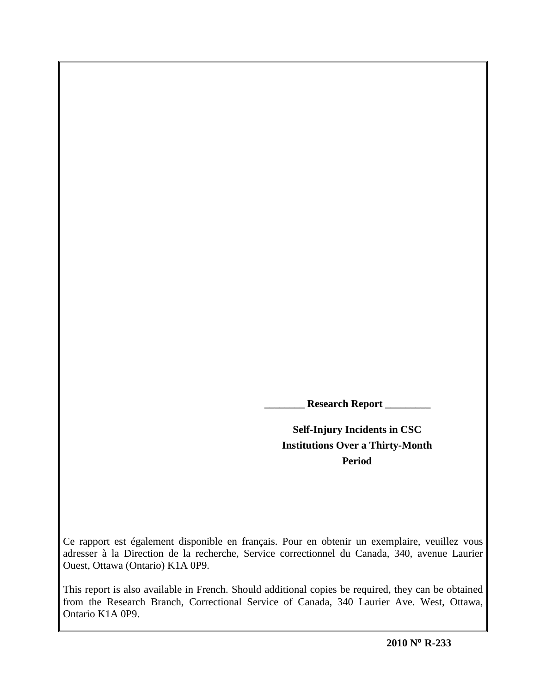**\_\_\_\_\_\_\_\_ Research Report \_\_\_\_\_\_\_\_\_**

**Self-Injury Incidents in CSC Institutions Over a Thirty-Month Period**

Ce rapport est également disponible en français. Pour en obtenir un exemplaire, veuillez vous adresser à la Direction de la recherche, Service correctionnel du Canada, 340, avenue Laurier Ouest, Ottawa (Ontario) K1A 0P9.

This report is also available in French. Should additional copies be required, they can be obtained from the Research Branch, Correctional Service of Canada, 340 Laurier Ave. West, Ottawa, Ontario K1A 0P9.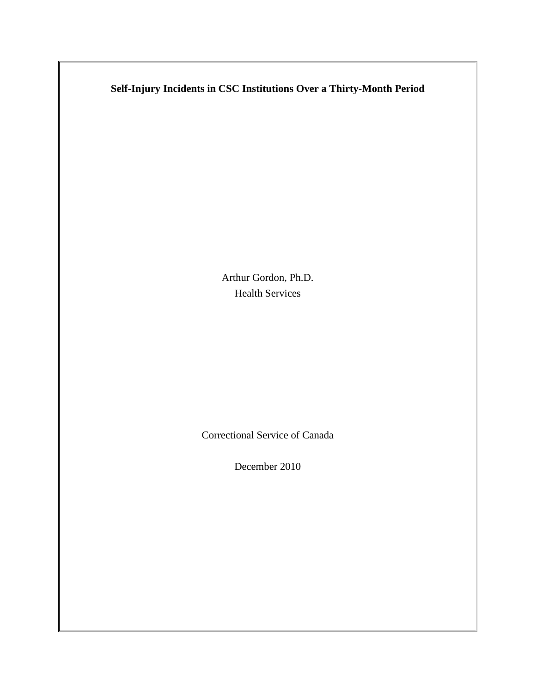# **Self-Injury Incidents in CSC Institutions Over a Thirty-Month Period**

Arthur Gordon, Ph.D. Health Services

Correctional Service of Canada

December 2010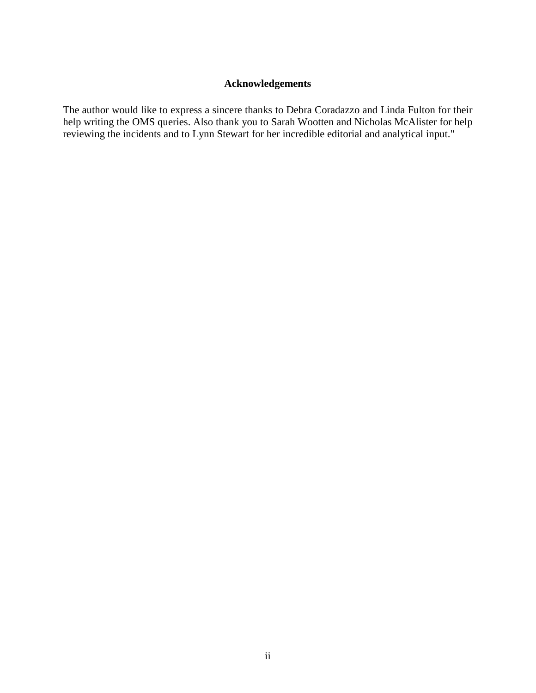# **Acknowledgements**

<span id="page-4-0"></span>The author would like to express a sincere thanks to Debra Coradazzo and Linda Fulton for their help writing the OMS queries. Also thank you to Sarah Wootten and Nicholas McAlister for help reviewing the incidents and to Lynn Stewart for her incredible editorial and analytical input."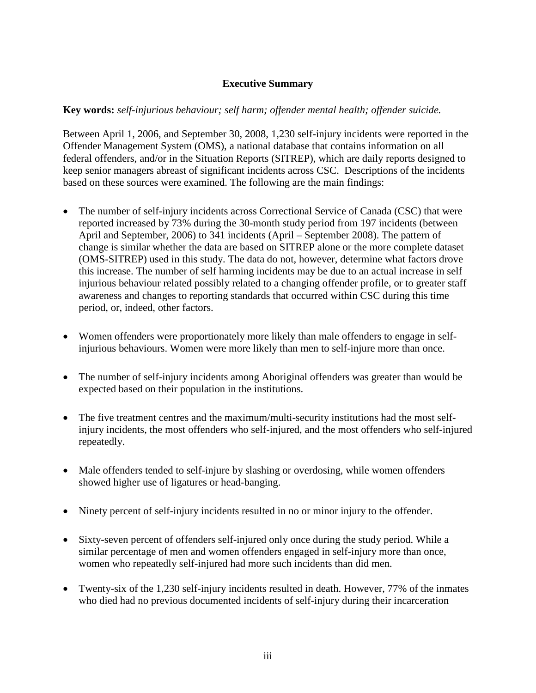# **Executive Summary**

# <span id="page-6-0"></span>**Key words:** *self-injurious behaviour; self harm; offender mental health; offender suicide.*

Between April 1, 2006, and September 30, 2008, 1,230 self-injury incidents were reported in the Offender Management System (OMS), a national database that contains information on all federal offenders, and/or in the Situation Reports (SITREP), which are daily reports designed to keep senior managers abreast of significant incidents across CSC. Descriptions of the incidents based on these sources were examined. The following are the main findings:

- The number of self-injury incidents across Correctional Service of Canada (CSC) that were reported increased by 73% during the 30-month study period from 197 incidents (between April and September, 2006) to 341 incidents (April – September 2008). The pattern of change is similar whether the data are based on SITREP alone or the more complete dataset (OMS-SITREP) used in this study. The data do not, however, determine what factors drove this increase. The number of self harming incidents may be due to an actual increase in self injurious behaviour related possibly related to a changing offender profile, or to greater staff awareness and changes to reporting standards that occurred within CSC during this time period, or, indeed, other factors.
- Women offenders were proportionately more likely than male offenders to engage in selfinjurious behaviours. Women were more likely than men to self-injure more than once.
- The number of self-injury incidents among Aboriginal offenders was greater than would be expected based on their population in the institutions.
- The five treatment centres and the maximum/multi-security institutions had the most selfinjury incidents, the most offenders who self-injured, and the most offenders who self-injured repeatedly.
- Male offenders tended to self-injure by slashing or overdosing, while women offenders showed higher use of ligatures or head-banging.
- Ninety percent of self-injury incidents resulted in no or minor injury to the offender.
- Sixty-seven percent of offenders self-injured only once during the study period. While a similar percentage of men and women offenders engaged in self-injury more than once, women who repeatedly self-injured had more such incidents than did men.
- Twenty-six of the 1,230 self-injury incidents resulted in death. However, 77% of the inmates who died had no previous documented incidents of self-injury during their incarceration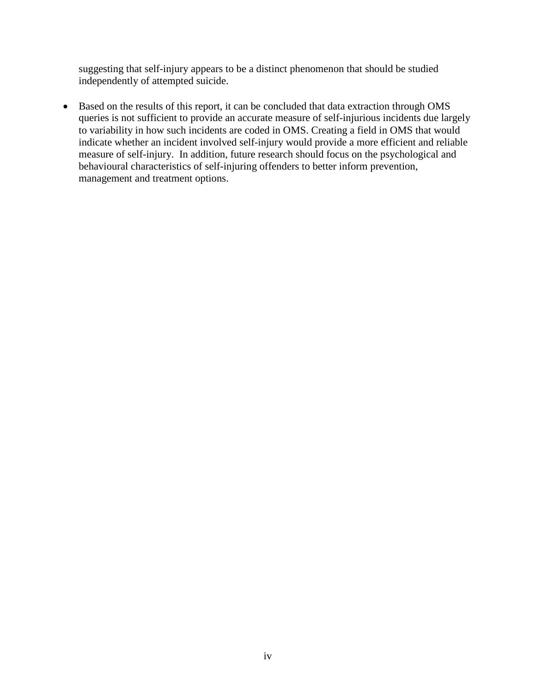suggesting that self-injury appears to be a distinct phenomenon that should be studied independently of attempted suicide.

• Based on the results of this report, it can be concluded that data extraction through OMS queries is not sufficient to provide an accurate measure of self-injurious incidents due largely to variability in how such incidents are coded in OMS. Creating a field in OMS that would indicate whether an incident involved self-injury would provide a more efficient and reliable measure of self-injury. In addition, future research should focus on the psychological and behavioural characteristics of self-injuring offenders to better inform prevention, management and treatment options.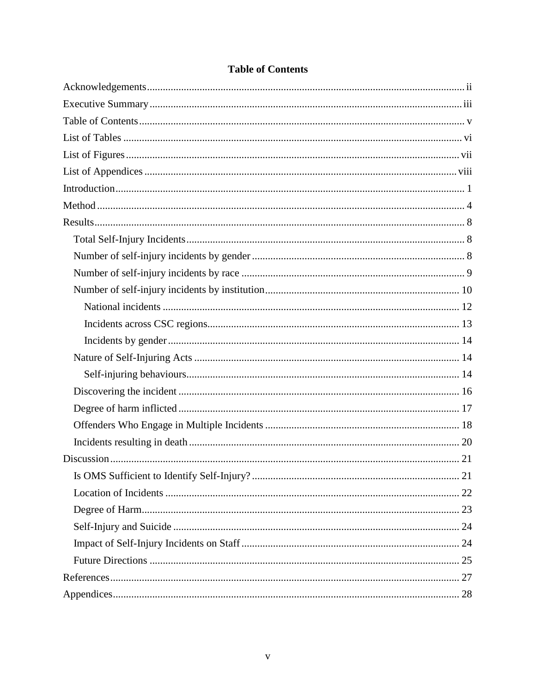<span id="page-9-0"></span>

# **Table of Contents**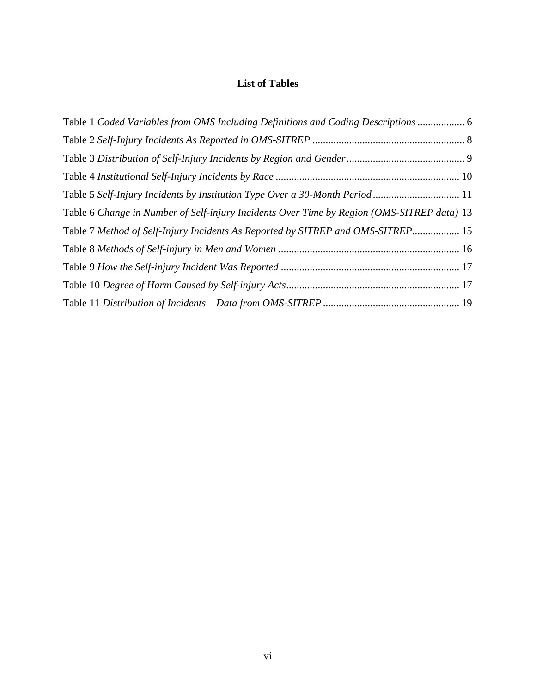# **List of Tables**

<span id="page-11-0"></span>

| Table 1 Coded Variables from OMS Including Definitions and Coding Descriptions  6          |  |
|--------------------------------------------------------------------------------------------|--|
|                                                                                            |  |
|                                                                                            |  |
|                                                                                            |  |
| Table 5 Self-Injury Incidents by Institution Type Over a 30-Month Period 11                |  |
| Table 6 Change in Number of Self-injury Incidents Over Time by Region (OMS-SITREP data) 13 |  |
| Table 7 Method of Self-Injury Incidents As Reported by SITREP and OMS-SITREP 15            |  |
|                                                                                            |  |
|                                                                                            |  |
|                                                                                            |  |
|                                                                                            |  |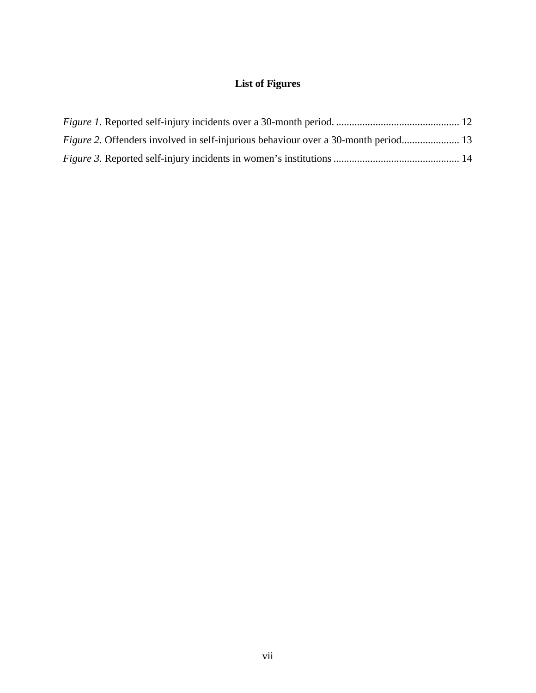# **List of Figures**

<span id="page-13-0"></span>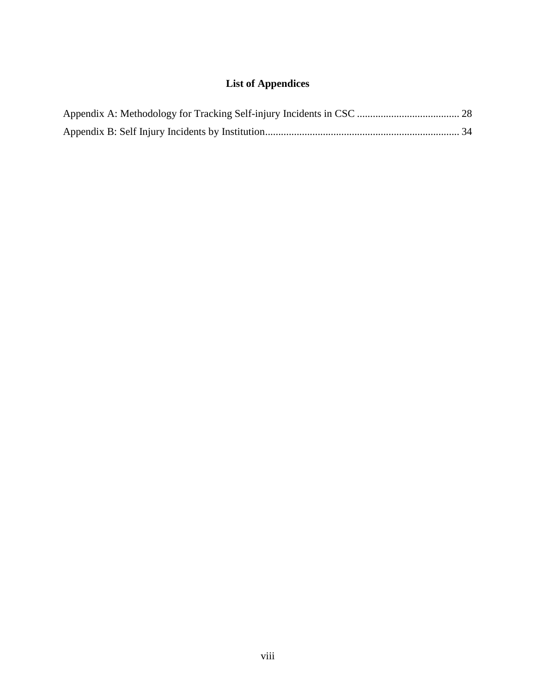# **List of Appendices**

<span id="page-15-0"></span>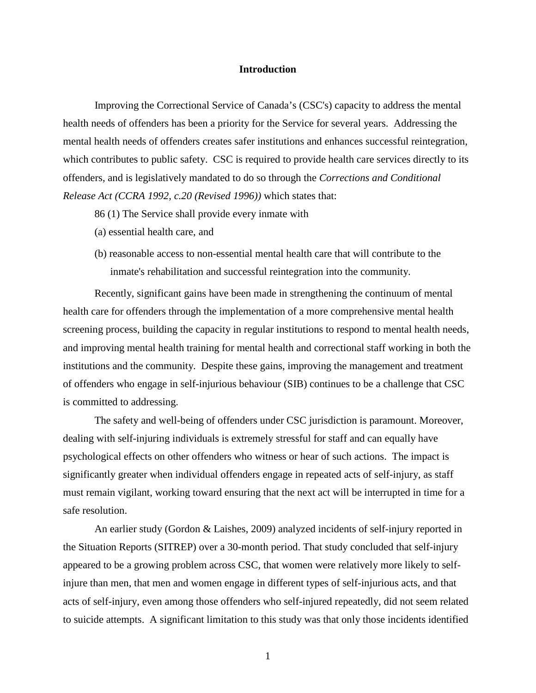#### **Introduction**

<span id="page-17-0"></span>Improving the Correctional Service of Canada's (CSC's) capacity to address the mental health needs of offenders has been a priority for the Service for several years. Addressing the mental health needs of offenders creates safer institutions and enhances successful reintegration, which contributes to public safety. CSC is required to provide health care services directly to its offenders, and is legislatively mandated to do so through the *Corrections and Conditional Release Act (CCRA 1992, c.20 (Revised 1996))* which states that:

- 86 (1) The Service shall provide every inmate with
- (a) essential health care, and
- (b) reasonable access to non-essential mental health care that will contribute to the inmate's rehabilitation and successful reintegration into the community.

Recently, significant gains have been made in strengthening the continuum of mental health care for offenders through the implementation of a more comprehensive mental health screening process, building the capacity in regular institutions to respond to mental health needs, and improving mental health training for mental health and correctional staff working in both the institutions and the community. Despite these gains, improving the management and treatment of offenders who engage in self-injurious behaviour (SIB) continues to be a challenge that CSC is committed to addressing.

The safety and well-being of offenders under CSC jurisdiction is paramount. Moreover, dealing with self-injuring individuals is extremely stressful for staff and can equally have psychological effects on other offenders who witness or hear of such actions. The impact is significantly greater when individual offenders engage in repeated acts of self-injury, as staff must remain vigilant, working toward ensuring that the next act will be interrupted in time for a safe resolution.

An earlier study (Gordon & Laishes, 2009) analyzed incidents of self-injury reported in the Situation Reports (SITREP) over a 30-month period. That study concluded that self-injury appeared to be a growing problem across CSC, that women were relatively more likely to selfinjure than men, that men and women engage in different types of self-injurious acts, and that acts of self-injury, even among those offenders who self-injured repeatedly, did not seem related to suicide attempts. A significant limitation to this study was that only those incidents identified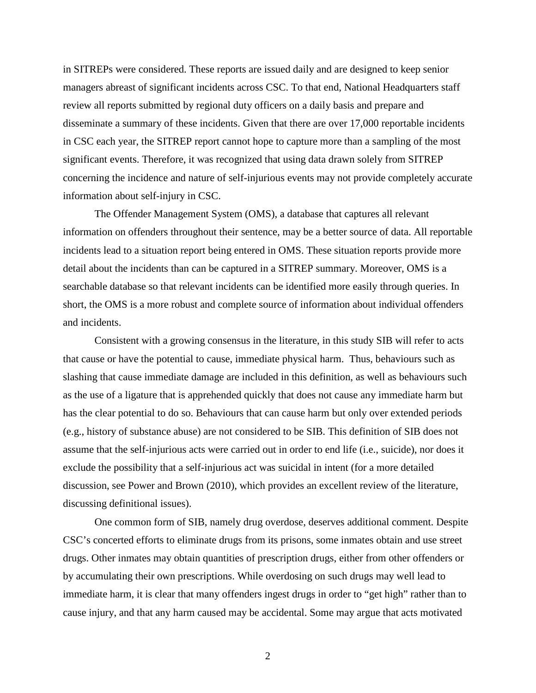in SITREPs were considered. These reports are issued daily and are designed to keep senior managers abreast of significant incidents across CSC. To that end, National Headquarters staff review all reports submitted by regional duty officers on a daily basis and prepare and disseminate a summary of these incidents. Given that there are over 17,000 reportable incidents in CSC each year, the SITREP report cannot hope to capture more than a sampling of the most significant events. Therefore, it was recognized that using data drawn solely from SITREP concerning the incidence and nature of self-injurious events may not provide completely accurate information about self-injury in CSC.

The Offender Management System (OMS), a database that captures all relevant information on offenders throughout their sentence, may be a better source of data. All reportable incidents lead to a situation report being entered in OMS. These situation reports provide more detail about the incidents than can be captured in a SITREP summary. Moreover, OMS is a searchable database so that relevant incidents can be identified more easily through queries. In short, the OMS is a more robust and complete source of information about individual offenders and incidents.

Consistent with a growing consensus in the literature, in this study SIB will refer to acts that cause or have the potential to cause, immediate physical harm. Thus, behaviours such as slashing that cause immediate damage are included in this definition, as well as behaviours such as the use of a ligature that is apprehended quickly that does not cause any immediate harm but has the clear potential to do so. Behaviours that can cause harm but only over extended periods (e.g., history of substance abuse) are not considered to be SIB. This definition of SIB does not assume that the self-injurious acts were carried out in order to end life (i.e., suicide), nor does it exclude the possibility that a self-injurious act was suicidal in intent (for a more detailed discussion, see Power and Brown (2010), which provides an excellent review of the literature, discussing definitional issues).

One common form of SIB, namely drug overdose, deserves additional comment. Despite CSC's concerted efforts to eliminate drugs from its prisons, some inmates obtain and use street drugs. Other inmates may obtain quantities of prescription drugs, either from other offenders or by accumulating their own prescriptions. While overdosing on such drugs may well lead to immediate harm, it is clear that many offenders ingest drugs in order to "get high" rather than to cause injury, and that any harm caused may be accidental. Some may argue that acts motivated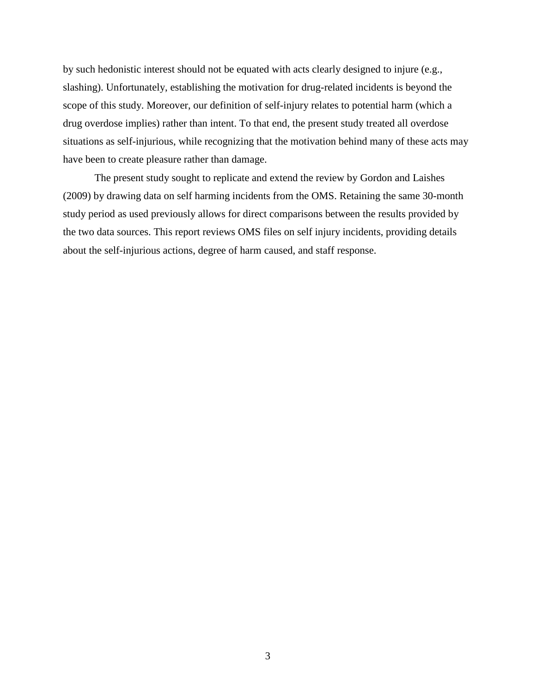by such hedonistic interest should not be equated with acts clearly designed to injure (e.g., slashing). Unfortunately, establishing the motivation for drug-related incidents is beyond the scope of this study. Moreover, our definition of self-injury relates to potential harm (which a drug overdose implies) rather than intent. To that end, the present study treated all overdose situations as self-injurious, while recognizing that the motivation behind many of these acts may have been to create pleasure rather than damage.

The present study sought to replicate and extend the review by Gordon and Laishes (2009) by drawing data on self harming incidents from the OMS. Retaining the same 30-month study period as used previously allows for direct comparisons between the results provided by the two data sources. This report reviews OMS files on self injury incidents, providing details about the self-injurious actions, degree of harm caused, and staff response.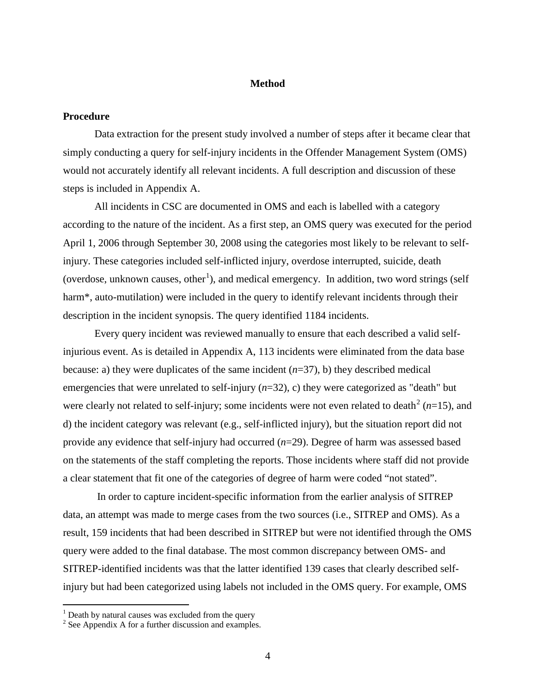#### **Method**

## <span id="page-20-0"></span>**Procedure**

Data extraction for the present study involved a number of steps after it became clear that simply conducting a query for self-injury incidents in the Offender Management System (OMS) would not accurately identify all relevant incidents. A full description and discussion of these steps is included in Appendix A.

All incidents in CSC are documented in OMS and each is labelled with a category according to the nature of the incident. As a first step, an OMS query was executed for the period April 1, 2006 through September 30, 2008 using the categories most likely to be relevant to selfinjury. These categories included self-inflicted injury, overdose interrupted, suicide, death (overdose, unknown causes, other<sup>[1](#page-20-1)</sup>), and medical emergency. In addition, two word strings (self harm<sup>\*</sup>, auto-mutilation) were included in the query to identify relevant incidents through their description in the incident synopsis. The query identified 1184 incidents.

Every query incident was reviewed manually to ensure that each described a valid selfinjurious event. As is detailed in Appendix A, 113 incidents were eliminated from the data base because: a) they were duplicates of the same incident (*n*=37), b) they described medical emergencies that were unrelated to self-injury (*n*=32), c) they were categorized as "death" but were clearly not related to self-injury; some incidents were not even related to death [2](#page-20-2) (*n*=15), and d) the incident category was relevant (e.g., self-inflicted injury), but the situation report did not provide any evidence that self-injury had occurred (*n*=29). Degree of harm was assessed based on the statements of the staff completing the reports. Those incidents where staff did not provide a clear statement that fit one of the categories of degree of harm were coded "not stated".

In order to capture incident-specific information from the earlier analysis of SITREP data, an attempt was made to merge cases from the two sources (i.e., SITREP and OMS). As a result, 159 incidents that had been described in SITREP but were not identified through the OMS query were added to the final database. The most common discrepancy between OMS- and SITREP-identified incidents was that the latter identified 139 cases that clearly described selfinjury but had been categorized using labels not included in the OMS query. For example, OMS

<span id="page-20-1"></span> $1$  Death by natural causes was excluded from the query

<span id="page-20-2"></span><sup>2</sup> See Appendix A for a further discussion and examples.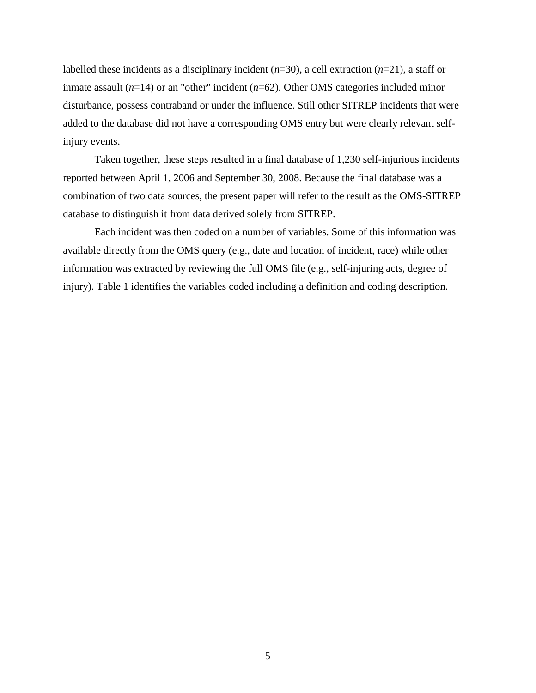labelled these incidents as a disciplinary incident (*n*=30), a cell extraction (*n*=21), a staff or inmate assault (*n*=14) or an "other" incident (*n*=62). Other OMS categories included minor disturbance, possess contraband or under the influence. Still other SITREP incidents that were added to the database did not have a corresponding OMS entry but were clearly relevant selfinjury events.

Taken together, these steps resulted in a final database of 1,230 self-injurious incidents reported between April 1, 2006 and September 30, 2008. Because the final database was a combination of two data sources, the present paper will refer to the result as the OMS-SITREP database to distinguish it from data derived solely from SITREP.

Each incident was then coded on a number of variables. Some of this information was available directly from the OMS query (e.g., date and location of incident, race) while other information was extracted by reviewing the full OMS file (e.g., self-injuring acts, degree of injury). Table 1 identifies the variables coded including a definition and coding description.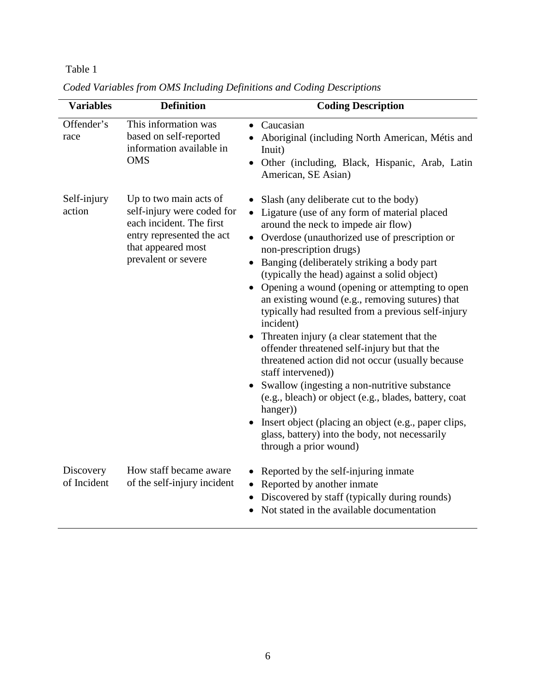# <span id="page-22-0"></span>Table 1

| <b>Variables</b>         | <b>Definition</b>                                                                                                                                          | <b>Coding Description</b>                                                                                                                                                                                                                                                                                                                                                                                                                                                                                                                                                                                                                                                                                                                                                                                                                                                                                                                                                |
|--------------------------|------------------------------------------------------------------------------------------------------------------------------------------------------------|--------------------------------------------------------------------------------------------------------------------------------------------------------------------------------------------------------------------------------------------------------------------------------------------------------------------------------------------------------------------------------------------------------------------------------------------------------------------------------------------------------------------------------------------------------------------------------------------------------------------------------------------------------------------------------------------------------------------------------------------------------------------------------------------------------------------------------------------------------------------------------------------------------------------------------------------------------------------------|
| Offender's<br>race       | This information was<br>based on self-reported<br>information available in<br><b>OMS</b>                                                                   | Caucasian<br>$\bullet$<br>Aboriginal (including North American, Métis and<br>Inuit)<br>Other (including, Black, Hispanic, Arab, Latin<br>$\bullet$<br>American, SE Asian)                                                                                                                                                                                                                                                                                                                                                                                                                                                                                                                                                                                                                                                                                                                                                                                                |
| Self-injury<br>action    | Up to two main acts of<br>self-injury were coded for<br>each incident. The first<br>entry represented the act<br>that appeared most<br>prevalent or severe | Slash (any deliberate cut to the body)<br>Ligature (use of any form of material placed<br>$\bullet$<br>around the neck to impede air flow)<br>• Overdose (unauthorized use of prescription or<br>non-prescription drugs)<br>Banging (deliberately striking a body part<br>$\bullet$<br>(typically the head) against a solid object)<br>Opening a wound (opening or attempting to open<br>$\bullet$<br>an existing wound (e.g., removing sutures) that<br>typically had resulted from a previous self-injury<br>incident)<br>• Threaten injury (a clear statement that the<br>offender threatened self-injury but that the<br>threatened action did not occur (usually because<br>staff intervened))<br>Swallow (ingesting a non-nutritive substance<br>(e.g., bleach) or object (e.g., blades, battery, coat<br>hanger)<br>Insert object (placing an object (e.g., paper clips,<br>$\bullet$<br>glass, battery) into the body, not necessarily<br>through a prior wound) |
| Discovery<br>of Incident | How staff became aware<br>of the self-injury incident                                                                                                      | Reported by the self-injuring inmate<br>$\bullet$<br>Reported by another inmate<br>Discovered by staff (typically during rounds)<br>Not stated in the available documentation                                                                                                                                                                                                                                                                                                                                                                                                                                                                                                                                                                                                                                                                                                                                                                                            |

*Coded Variables from OMS Including Definitions and Coding Descriptions*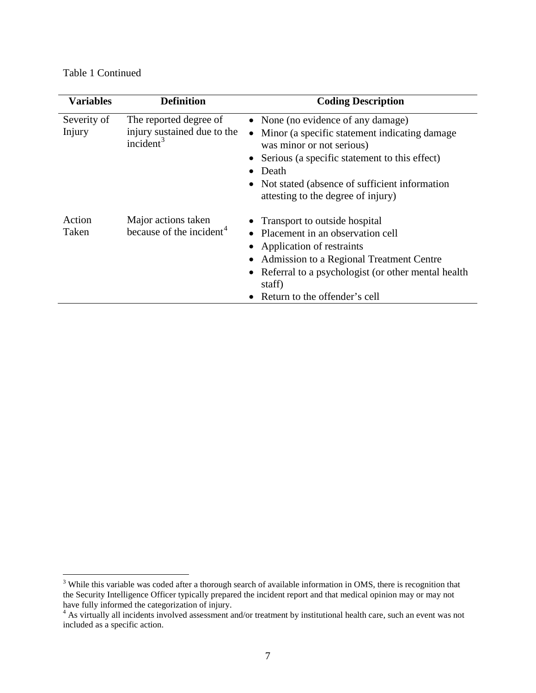Table 1 Continued

| <b>Variables</b>      | <b>Definition</b>                                                     | <b>Coding Description</b>                                                                                                                                                                                                                                                      |
|-----------------------|-----------------------------------------------------------------------|--------------------------------------------------------------------------------------------------------------------------------------------------------------------------------------------------------------------------------------------------------------------------------|
| Severity of<br>Injury | The reported degree of<br>injury sustained due to the<br>incident $3$ | • None (no evidence of any damage)<br>Minor (a specific statement indicating damage<br>$\bullet$<br>was minor or not serious)<br>Serious (a specific statement to this effect)<br>Death<br>Not stated (absence of sufficient information<br>attesting to the degree of injury) |
| Action<br>Taken       | Major actions taken<br>because of the incident <sup>4</sup>           | • Transport to outside hospital<br>Placement in an observation cell<br>Application of restraints<br>Admission to a Regional Treatment Centre<br>Referral to a psychologist (or other mental health<br>staff)<br>Return to the offender's cell                                  |

<span id="page-23-0"></span><sup>&</sup>lt;sup>3</sup> While this variable was coded after a thorough search of available information in OMS, there is recognition that the Security Intelligence Officer typically prepared the incident report and that medical opinion may or may not have fully informed the categorization of injury.<br>
<sup>4</sup> As virtually all incidents involved assessment and/or treatment by institutional health care, such an event was not

<span id="page-23-1"></span>included as a specific action.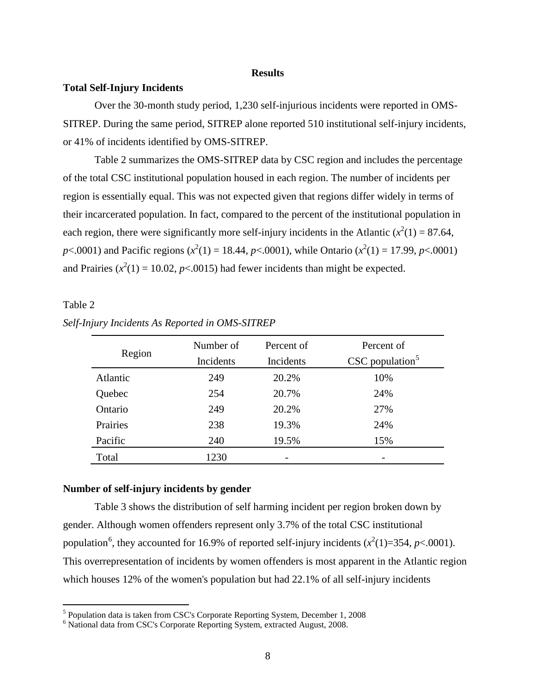#### **Results**

#### <span id="page-24-1"></span><span id="page-24-0"></span>**Total Self-Injury Incidents**

Over the 30-month study period, 1,230 self-injurious incidents were reported in OMS-SITREP. During the same period, SITREP alone reported 510 institutional self-injury incidents, or 41% of incidents identified by OMS-SITREP.

Table 2 summarizes the OMS-SITREP data by CSC region and includes the percentage of the total CSC institutional population housed in each region. The number of incidents per region is essentially equal. This was not expected given that regions differ widely in terms of their incarcerated population. In fact, compared to the percent of the institutional population in each region, there were significantly more self-injury incidents in the Atlantic  $(x^2(1) = 87.64)$ , *p*<.0001) and Pacific regions ( $x^2(1) = 18.44$ , *p*<.0001), while Ontario ( $x^2(1) = 17.99$ , *p*<.0001) and Prairies  $(x^2(1) = 10.02, p < .0015)$  had fewer incidents than might be expected.

# <span id="page-24-3"></span>Table 2

|          | Number of | Percent of | Percent of                    |
|----------|-----------|------------|-------------------------------|
| Region   | Incidents | Incidents  | $CSC$ population <sup>5</sup> |
| Atlantic | 249       | 20.2%      | 10%                           |
| Quebec   | 254       | 20.7%      | 24%                           |
| Ontario  | 249       | 20.2%      | 27%                           |
| Prairies | 238       | 19.3%      | 24%                           |
| Pacific  | 240       | 19.5%      | 15%                           |
| Total    | 1230      |            |                               |

*Self-Injury Incidents As Reported in OMS-SITREP*

### <span id="page-24-2"></span>**Number of self-injury incidents by gender**

Table 3 shows the distribution of self harming incident per region broken down by gender. Although women offenders represent only 3.7% of the total CSC institutional population<sup>[6](#page-24-5)</sup>, they accounted for 16.9% of reported self-injury incidents  $(x^2(1)=354, p<.0001)$ . This overrepresentation of incidents by women offenders is most apparent in the Atlantic region which houses 12% of the women's population but had 22.1% of all self-injury incidents

<span id="page-24-4"></span> <sup>5</sup> Population data is taken from CSC's Corporate Reporting System, December 1, 2008

<span id="page-24-5"></span><sup>6</sup> National data from CSC's Corporate Reporting System, extracted August, 2008.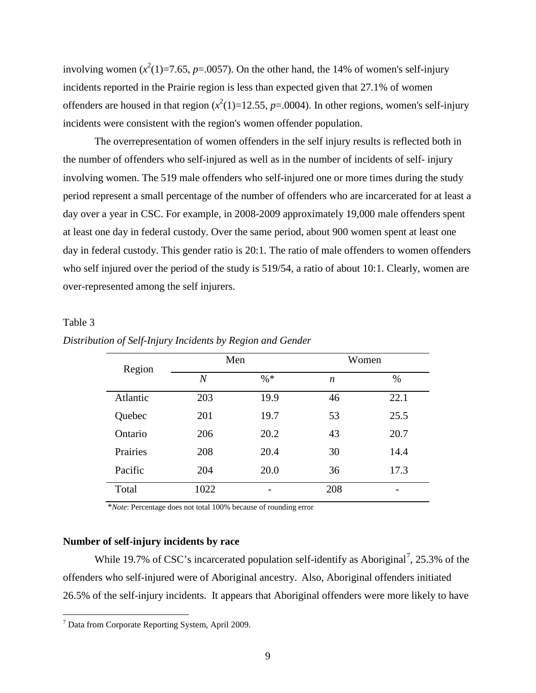involving women  $(x^2(1)=7.65, p=.0057)$ . On the other hand, the 14% of women's self-injury incidents reported in the Prairie region is less than expected given that 27.1% of women offenders are housed in that region  $(x^2(1)=12.55, p=.0004)$ . In other regions, women's self-injury incidents were consistent with the region's women offender population.

The overrepresentation of women offenders in the self injury results is reflected both in the number of offenders who self-injured as well as in the number of incidents of self- injury involving women. The 519 male offenders who self-injured one or more times during the study period represent a small percentage of the number of offenders who are incarcerated for at least a day over a year in CSC. For example, in 2008-2009 approximately 19,000 male offenders spent at least one day in federal custody. Over the same period, about 900 women spent at least one day in federal custody. This gender ratio is 20:1. The ratio of male offenders to women offenders who self injured over the period of the study is 519/54, a ratio of about 10:1. Clearly, women are over-represented among the self injurers.

# <span id="page-25-1"></span>Table 3

| Region   | Men              |        | Women            |      |
|----------|------------------|--------|------------------|------|
|          | $\boldsymbol{N}$ | $\% *$ | $\boldsymbol{n}$ | $\%$ |
| Atlantic | 203              | 19.9   | 46               | 22.1 |
| Quebec   | 201              | 19.7   | 53               | 25.5 |
| Ontario  | 206              | 20.2   | 43               | 20.7 |
| Prairies | 208              | 20.4   | 30               | 14.4 |
| Pacific  | 204              | 20.0   | 36               | 17.3 |
| Total    | 1022             |        | 208              |      |

#### *Distribution of Self-Injury Incidents by Region and Gender*

\**Note*: Percentage does not total 100% because of rounding error

#### <span id="page-25-0"></span>**Number of self-injury incidents by race**

While 19.[7](#page-25-2)% of CSC's incarcerated population self-identify as Aboriginal<sup>7</sup>, 25.3% of the offenders who self-injured were of Aboriginal ancestry. Also, Aboriginal offenders initiated 26.5% of the self-injury incidents. It appears that Aboriginal offenders were more likely to have

<span id="page-25-2"></span> $<sup>7</sup>$  Data from Corporate Reporting System, April 2009.</sup>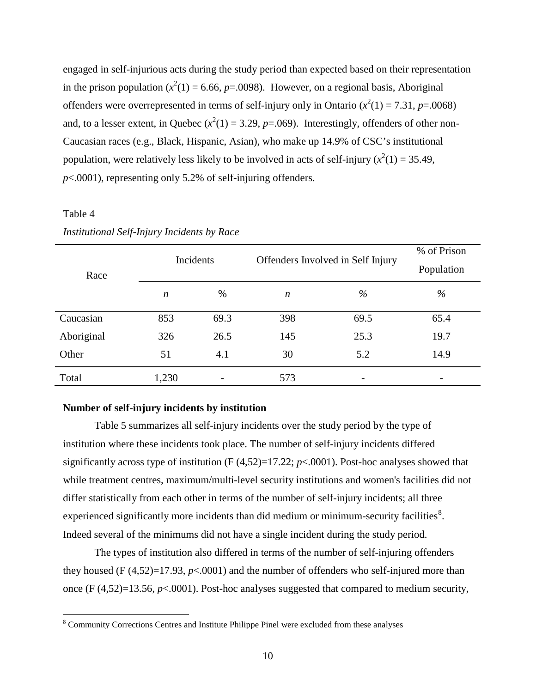engaged in self-injurious acts during the study period than expected based on their representation in the prison population  $(x^2(1) = 6.66, p = .0098)$ . However, on a regional basis, Aboriginal offenders were overrepresented in terms of self-injury only in Ontario  $(x^2(1) = 7.31, p = .0068)$ and, to a lesser extent, in Quebec  $(x^2(1) = 3.29, p = .069)$ . Interestingly, offenders of other non-Caucasian races (e.g., Black, Hispanic, Asian), who make up 14.9% of CSC's institutional population, were relatively less likely to be involved in acts of self-injury  $(x^2(1) = 35.49)$ , *p*<.0001), representing only 5.2% of self-injuring offenders.

# <span id="page-26-1"></span>Table 4

| Race       | Incidents        |      | Offenders Involved in Self Injury |      | % of Prison<br>Population |
|------------|------------------|------|-----------------------------------|------|---------------------------|
|            | $\boldsymbol{n}$ | $\%$ | n                                 | $\%$ | $\%$                      |
| Caucasian  | 853              | 69.3 | 398                               | 69.5 | 65.4                      |
| Aboriginal | 326              | 26.5 | 145                               | 25.3 | 19.7                      |
| Other      | 51               | 4.1  | 30                                | 5.2  | 14.9                      |
| Total      | 1,230            |      | 573                               |      |                           |

# *Institutional Self-Injury Incidents by Race*

## <span id="page-26-0"></span>**Number of self-injury incidents by institution**

Table 5 summarizes all self-injury incidents over the study period by the type of institution where these incidents took place. The number of self-injury incidents differed significantly across type of institution  $(F(4,52)=17.22; p<.0001)$ . Post-hoc analyses showed that while treatment centres, maximum/multi-level security institutions and women's facilities did not differ statistically from each other in terms of the number of self-injury incidents; all three experienced significantly more incidents than did medium or minimum-security facilities<sup>[8](#page-26-2)</sup>. Indeed several of the minimums did not have a single incident during the study period.

The types of institution also differed in terms of the number of self-injuring offenders they housed (F  $(4,52)=17.93$ ,  $p<0.001$ ) and the number of offenders who self-injured more than once (F (4,52)=13.56, *p*<.0001). Post-hoc analyses suggested that compared to medium security,

<span id="page-26-2"></span> <sup>8</sup> Community Corrections Centres and Institute Philippe Pinel were excluded from these analyses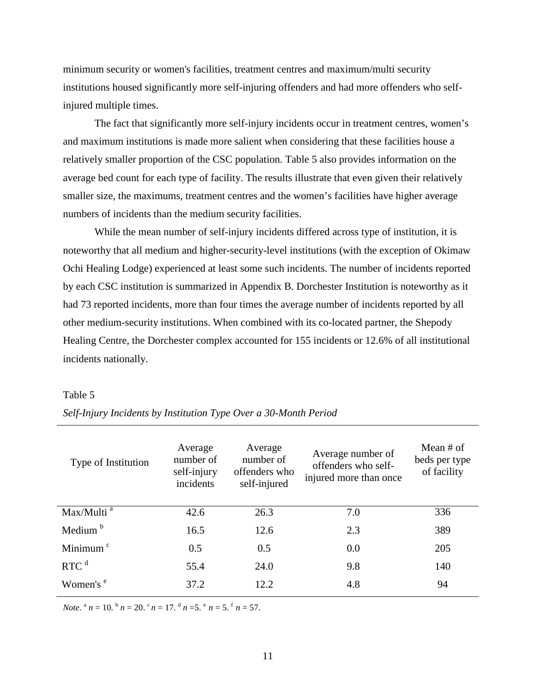minimum security or women's facilities, treatment centres and maximum/multi security institutions housed significantly more self-injuring offenders and had more offenders who selfinjured multiple times.

The fact that significantly more self-injury incidents occur in treatment centres, women's and maximum institutions is made more salient when considering that these facilities house a relatively smaller proportion of the CSC population. Table 5 also provides information on the average bed count for each type of facility. The results illustrate that even given their relatively smaller size, the maximums, treatment centres and the women's facilities have higher average numbers of incidents than the medium security facilities.

While the mean number of self-injury incidents differed across type of institution, it is noteworthy that all medium and higher-security-level institutions (with the exception of Okimaw Ochi Healing Lodge) experienced at least some such incidents. The number of incidents reported by each CSC institution is summarized in Appendix B. Dorchester Institution is noteworthy as it had 73 reported incidents, more than four times the average number of incidents reported by all other medium-security institutions. When combined with its co-located partner, the Shepody Healing Centre, the Dorchester complex accounted for 155 incidents or 12.6% of all institutional incidents nationally.

## <span id="page-27-0"></span>Table 5

| Type of Institution    | Average<br>number of<br>self-injury<br>incidents | Average<br>number of<br>offenders who<br>self-injured | Average number of<br>offenders who self-<br>injured more than once | Mean $#$ of<br>beds per type<br>of facility |
|------------------------|--------------------------------------------------|-------------------------------------------------------|--------------------------------------------------------------------|---------------------------------------------|
| Max/Multi <sup>a</sup> | 42.6                                             | 26.3                                                  | 7.0                                                                | 336                                         |
| Medium <sup>b</sup>    | 16.5                                             | 12.6                                                  | 2.3                                                                | 389                                         |
| Minimum <sup>c</sup>   | 0.5                                              | 0.5                                                   | 0.0                                                                | 205                                         |
| RTC <sup>d</sup>       | 55.4                                             | 24.0                                                  | 9.8                                                                | 140                                         |
| Women's $e^e$          | 37.2                                             | 12.2.                                                 | 4.8                                                                | 94                                          |

*Self-Injury Incidents by Institution Type Over a 30-Month Period*

*Note.*  $^{a}$   $n = 10$ .  $^{b}$   $n = 20$ .  $^{c}$   $n = 17$ .  $^{d}$   $n = 5$ .  $^{e}$   $n = 5$ .  $^{f}$   $n = 57$ .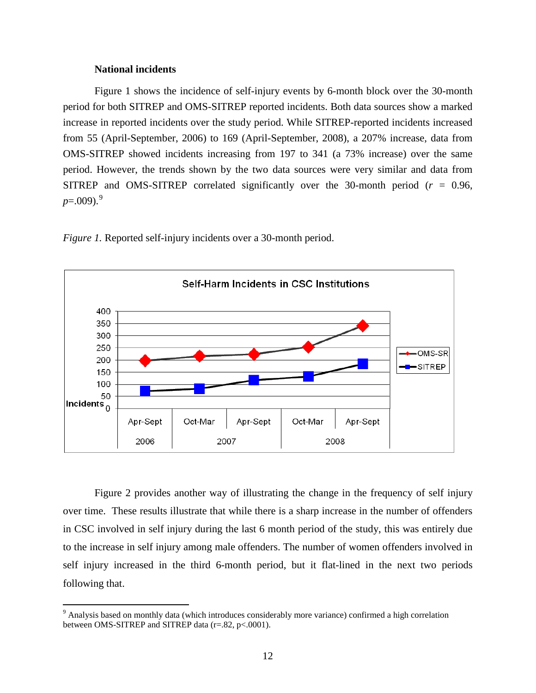## **National incidents**

<span id="page-28-0"></span>Figure 1 shows the incidence of self-injury events by 6-month block over the 30-month period for both SITREP and OMS-SITREP reported incidents. Both data sources show a marked increase in reported incidents over the study period. While SITREP-reported incidents increased from 55 (April-September, 2006) to 169 (April-September, 2008), a 207% increase, data from OMS-SITREP showed incidents increasing from 197 to 341 (a 73% increase) over the same period. However, the trends shown by the two data sources were very similar and data from SITREP and OMS-SITREP correlated significantly over the 30-month period (*r* = 0.96,  $p=.009$  $p=.009$ .<sup>9</sup>

<span id="page-28-1"></span>*Figure 1.* Reported self-injury incidents over a 30-month period.



Figure 2 provides another way of illustrating the change in the frequency of self injury over time. These results illustrate that while there is a sharp increase in the number of offenders in CSC involved in self injury during the last 6 month period of the study, this was entirely due to the increase in self injury among male offenders. The number of women offenders involved in self injury increased in the third 6-month period, but it flat-lined in the next two periods following that.

<span id="page-28-2"></span><sup>&</sup>lt;sup>9</sup> Analysis based on monthly data (which introduces considerably more variance) confirmed a high correlation between OMS-SITREP and SITREP data (r=.82, p<.0001).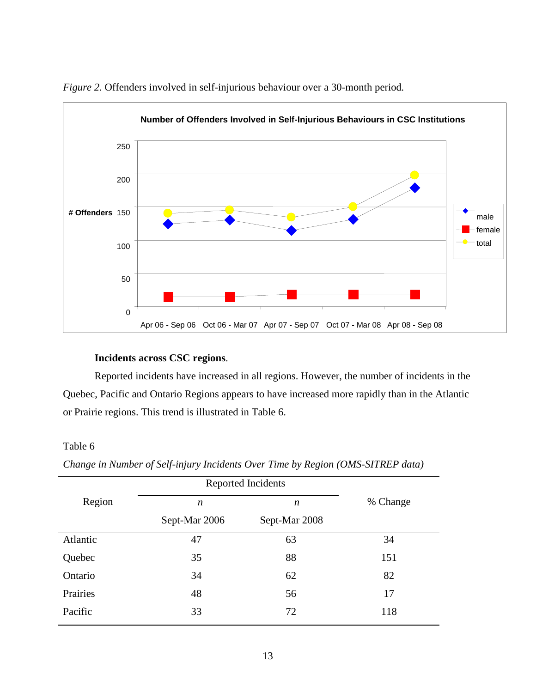

<span id="page-29-2"></span>*Figure 2.* Offenders involved in self-injurious behaviour over a 30-month period*.*

# **Incidents across CSC regions**.

<span id="page-29-0"></span>Reported incidents have increased in all regions. However, the number of incidents in the Quebec, Pacific and Ontario Regions appears to have increased more rapidly than in the Atlantic or Prairie regions. This trend is illustrated in Table 6.

# <span id="page-29-1"></span>Table 6

|          | Reported Incidents |                  |          |
|----------|--------------------|------------------|----------|
| Region   | n                  | $\boldsymbol{n}$ | % Change |
|          | Sept-Mar 2006      | Sept-Mar 2008    |          |
| Atlantic | 47                 | 63               | 34       |
| Quebec   | 35                 | 88               | 151      |
| Ontario  | 34                 | 62               | 82       |
| Prairies | 48                 | 56               | 17       |
| Pacific  | 33                 | 72               | 118      |
|          |                    |                  |          |

*Change in Number of Self-injury Incidents Over Time by Region (OMS-SITREP data)*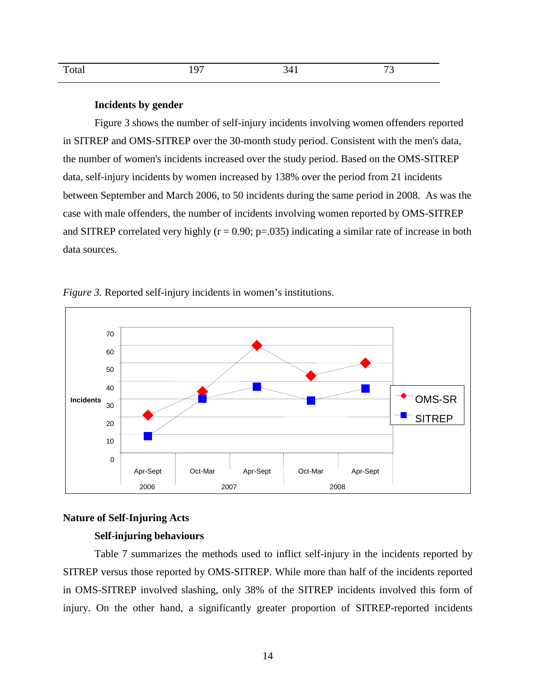| $T_{\rm max}$<br><b>TORAL</b> | $\sim$<br>∼<br>., | $\sim$ | $\overline{\phantom{a}}$<br>ຼ |
|-------------------------------|-------------------|--------|-------------------------------|
|                               |                   |        |                               |

#### **Incidents by gender**

<span id="page-30-0"></span>Figure 3 shows the number of self-injury incidents involving women offenders reported in SITREP and OMS-SITREP over the 30-month study period. Consistent with the men's data, the number of women's incidents increased over the study period. Based on the OMS-SITREP data, self-injury incidents by women increased by 138% over the period from 21 incidents between September and March 2006, to 50 incidents during the same period in 2008. As was the case with male offenders, the number of incidents involving women reported by OMS-SITREP and SITREP correlated very highly  $(r = 0.90; p = .035)$  indicating a similar rate of increase in both data sources.



<span id="page-30-3"></span>*Figure 3.* Reported self-injury incidents in women's institutions.

## <span id="page-30-2"></span><span id="page-30-1"></span>**Nature of Self-Injuring Acts**

# **Self-injuring behaviours**

Table 7 summarizes the methods used to inflict self-injury in the incidents reported by SITREP versus those reported by OMS-SITREP. While more than half of the incidents reported in OMS-SITREP involved slashing, only 38% of the SITREP incidents involved this form of injury. On the other hand, a significantly greater proportion of SITREP-reported incidents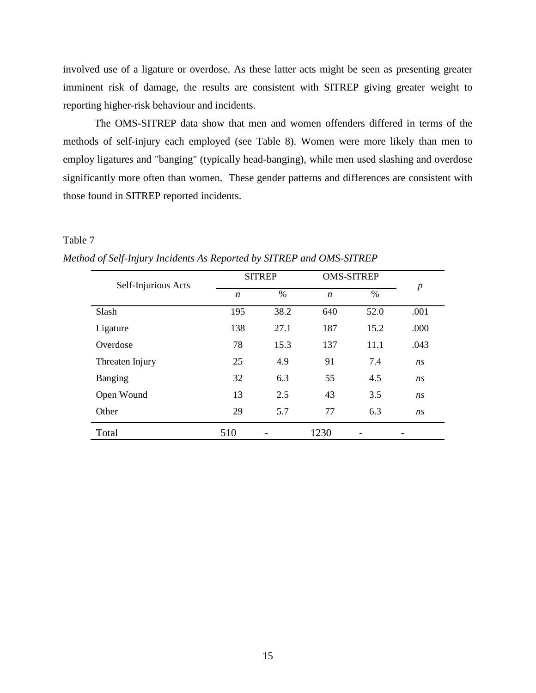involved use of a ligature or overdose. As these latter acts might be seen as presenting greater imminent risk of damage, the results are consistent with SITREP giving greater weight to reporting higher-risk behaviour and incidents.

The OMS-SITREP data show that men and women offenders differed in terms of the methods of self-injury each employed (see Table 8). Women were more likely than men to employ ligatures and "banging" (typically head-banging), while men used slashing and overdose significantly more often than women. These gender patterns and differences are consistent with those found in SITREP reported incidents.

# <span id="page-31-0"></span>Table 7

*Method of Self-Injury Incidents As Reported by SITREP and OMS-SITREP*

<span id="page-31-1"></span>

| Self-Injurious Acts |                  | <b>SITREP</b> |                  | <b>OMS-SITREP</b> |                  |
|---------------------|------------------|---------------|------------------|-------------------|------------------|
|                     | $\boldsymbol{n}$ | $\%$          | $\boldsymbol{n}$ | $\%$              | $\boldsymbol{p}$ |
| Slash               | 195              | 38.2          | 640              | 52.0              | .001             |
| Ligature            | 138              | 27.1          | 187              | 15.2              | .000             |
| Overdose            | 78               | 15.3          | 137              | 11.1              | .043             |
| Threaten Injury     | 25               | 4.9           | 91               | 7.4               | ns               |
| <b>Banging</b>      | 32               | 6.3           | 55               | 4.5               | ns               |
| Open Wound          | 13               | 2.5           | 43               | 3.5               | ns               |
| Other               | 29               | 5.7           | 77               | 6.3               | ns               |
| Total               | 510              |               | 1230             |                   |                  |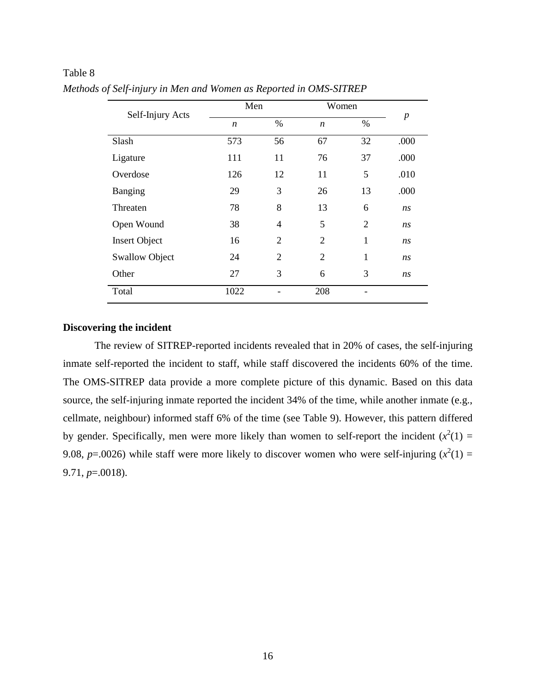| Self-Injury Acts      | Men              |                | Women            |                |                  |
|-----------------------|------------------|----------------|------------------|----------------|------------------|
|                       | $\boldsymbol{n}$ | $\%$           | $\boldsymbol{n}$ | $\%$           | $\boldsymbol{p}$ |
| Slash                 | 573              | 56             | 67               | 32             | .000             |
| Ligature              | 111              | 11             | 76               | 37             | .000             |
| Overdose              | 126              | 12             | 11               | 5              | .010             |
| Banging               | 29               | 3              | 26               | 13             | .000             |
| Threaten              | 78               | 8              | 13               | 6              | ns               |
| Open Wound            | 38               | 4              | 5                | $\overline{2}$ | ns               |
| <b>Insert Object</b>  | 16               | $\overline{2}$ | $\overline{2}$   | $\mathbf{1}$   | ns               |
| <b>Swallow Object</b> | 24               | $\overline{2}$ | $\overline{2}$   | $\mathbf{1}$   | ns               |
| Other                 | 27               | 3              | 6                | 3              | ns               |
| Total                 | 1022             |                | 208              |                |                  |

Table 8 *Methods of Self-injury in Men and Women as Reported in OMS-SITREP*

# <span id="page-32-0"></span>**Discovering the incident**

The review of SITREP-reported incidents revealed that in 20% of cases, the self-injuring inmate self-reported the incident to staff, while staff discovered the incidents 60% of the time. The OMS-SITREP data provide a more complete picture of this dynamic. Based on this data source, the self-injuring inmate reported the incident 34% of the time, while another inmate (e.g., cellmate, neighbour) informed staff 6% of the time (see Table 9). However, this pattern differed by gender. Specifically, men were more likely than women to self-report the incident  $(x^2(1) =$ 9.08,  $p=0.0026$ ) while staff were more likely to discover women who were self-injuring  $(x^2(1) =$ 9.71, *p*=.0018).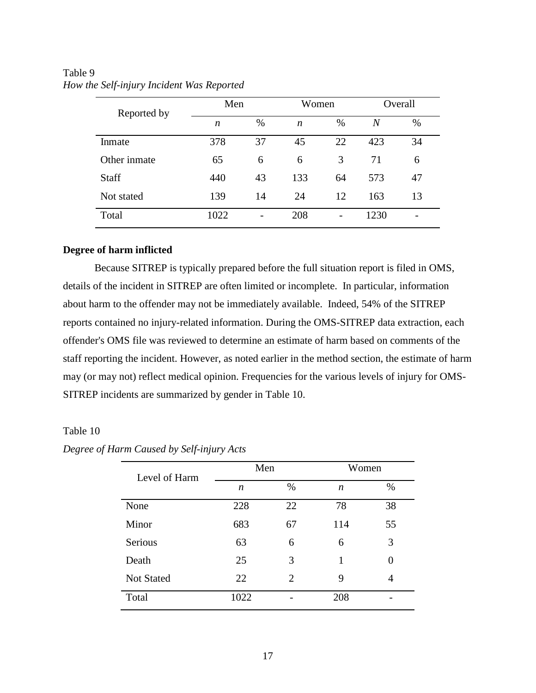| Reported by  | Men  |      | Women            |                          | Overall |    |
|--------------|------|------|------------------|--------------------------|---------|----|
|              | n    | $\%$ | $\boldsymbol{n}$ | $\%$                     | N       | %  |
| Inmate       | 378  | 37   | 45               | 22                       | 423     | 34 |
| Other inmate | 65   | 6    | 6                | 3                        | 71      | 6  |
| <b>Staff</b> | 440  | 43   | 133              | 64                       | 573     | 47 |
| Not stated   | 139  | 14   | 24               | 12                       | 163     | 13 |
| Total        | 1022 |      | 208              | $\overline{\phantom{0}}$ | 1230    |    |

<span id="page-33-1"></span>Table 9 *How the Self-injury Incident Was Reported*

## <span id="page-33-0"></span>**Degree of harm inflicted**

Because SITREP is typically prepared before the full situation report is filed in OMS, details of the incident in SITREP are often limited or incomplete. In particular, information about harm to the offender may not be immediately available. Indeed, 54% of the SITREP reports contained no injury-related information. During the OMS-SITREP data extraction, each offender's OMS file was reviewed to determine an estimate of harm based on comments of the staff reporting the incident. However, as noted earlier in the method section, the estimate of harm may (or may not) reflect medical opinion. Frequencies for the various levels of injury for OMS-SITREP incidents are summarized by gender in Table 10.

## <span id="page-33-2"></span>Table 10

| Level of Harm     | Men              |      | Women            |      |
|-------------------|------------------|------|------------------|------|
|                   | $\boldsymbol{n}$ | $\%$ | $\boldsymbol{n}$ | $\%$ |
| None              | 228              | 22   | 78               | 38   |
| Minor             | 683              | 67   | 114              | 55   |
| Serious           | 63               | 6    | 6                | 3    |
| Death             | 25               | 3    | 1                | 0    |
| <b>Not Stated</b> | 22               | 2    | 9                | 4    |
| Total             | 1022             |      | 208              |      |

*Degree of Harm Caused by Self-injury Acts*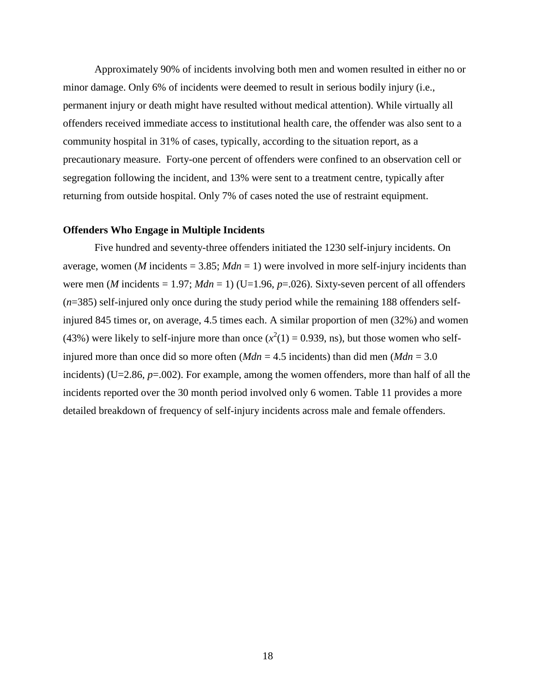Approximately 90% of incidents involving both men and women resulted in either no or minor damage. Only 6% of incidents were deemed to result in serious bodily injury (i.e., permanent injury or death might have resulted without medical attention). While virtually all offenders received immediate access to institutional health care, the offender was also sent to a community hospital in 31% of cases, typically, according to the situation report, as a precautionary measure. Forty-one percent of offenders were confined to an observation cell or segregation following the incident, and 13% were sent to a treatment centre, typically after returning from outside hospital. Only 7% of cases noted the use of restraint equipment.

#### <span id="page-34-0"></span>**Offenders Who Engage in Multiple Incidents**

<span id="page-34-1"></span>Five hundred and seventy-three offenders initiated the 1230 self-injury incidents. On average, women (*M* incidents  $= 3.85$ ; *Mdn*  $= 1$ ) were involved in more self-injury incidents than were men (*M* incidents = 1.97;  $Mdn = 1$ ) (U=1.96,  $p=0.026$ ). Sixty-seven percent of all offenders (*n*=385) self-injured only once during the study period while the remaining 188 offenders selfinjured 845 times or, on average, 4.5 times each. A similar proportion of men (32%) and women (43%) were likely to self-injure more than once  $(x^2(1) = 0.939$ , ns), but those women who selfinjured more than once did so more often  $(Mdn = 4.5$  incidents) than did men  $(Mdn = 3.0)$ incidents) (U=2.86,  $p=0.002$ ). For example, among the women offenders, more than half of all the incidents reported over the 30 month period involved only 6 women. Table 11 provides a more detailed breakdown of frequency of self-injury incidents across male and female offenders.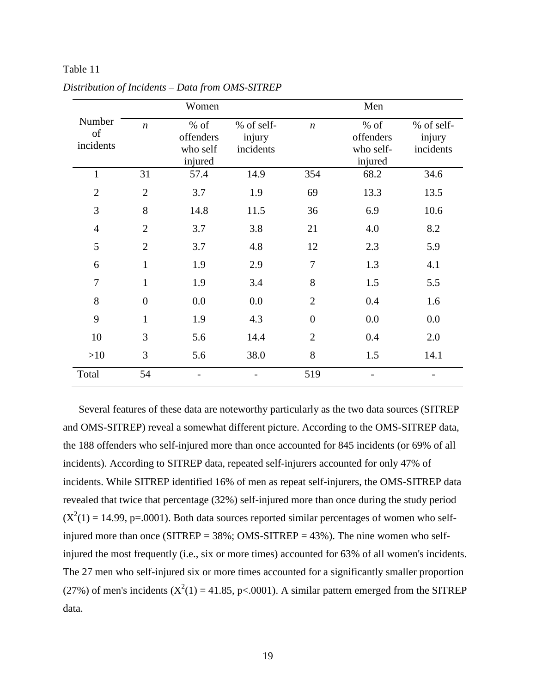|                           |                  | Women                                    |                                   |                  | Men                                         |                                   |
|---------------------------|------------------|------------------------------------------|-----------------------------------|------------------|---------------------------------------------|-----------------------------------|
| Number<br>of<br>incidents | $\boldsymbol{n}$ | % of<br>offenders<br>who self<br>injured | % of self-<br>injury<br>incidents | $\boldsymbol{n}$ | $%$ of<br>offenders<br>who self-<br>injured | % of self-<br>injury<br>incidents |
| $\mathbf{1}$              | 31               | 57.4                                     | 14.9                              | 354              | 68.2                                        | 34.6                              |
| $\overline{2}$            | $\overline{2}$   | 3.7                                      | 1.9                               | 69               | 13.3                                        | 13.5                              |
| 3                         | 8                | 14.8                                     | 11.5                              | 36               | 6.9                                         | 10.6                              |
| $\overline{4}$            | $\overline{2}$   | 3.7                                      | 3.8                               | 21               | 4.0                                         | 8.2                               |
| 5                         | $\overline{2}$   | 3.7                                      | 4.8                               | 12               | 2.3                                         | 5.9                               |
| 6                         | $\mathbf{1}$     | 1.9                                      | 2.9                               | $\tau$           | 1.3                                         | 4.1                               |
| $\overline{7}$            | $\mathbf{1}$     | 1.9                                      | 3.4                               | 8                | 1.5                                         | 5.5                               |
| 8                         | $\overline{0}$   | 0.0                                      | 0.0                               | $\overline{2}$   | 0.4                                         | 1.6                               |
| 9                         | $\mathbf{1}$     | 1.9                                      | 4.3                               | $\boldsymbol{0}$ | 0.0                                         | 0.0                               |
| 10                        | 3                | 5.6                                      | 14.4                              | $\overline{2}$   | 0.4                                         | 2.0                               |
| >10                       | 3                | 5.6                                      | 38.0                              | 8                | 1.5                                         | 14.1                              |
| Total                     | 54               |                                          |                                   | 519              |                                             |                                   |

*Distribution of Incidents – Data from OMS-SITREP*

Table 11

Several features of these data are noteworthy particularly as the two data sources (SITREP and OMS-SITREP) reveal a somewhat different picture. According to the OMS-SITREP data, the 188 offenders who self-injured more than once accounted for 845 incidents (or 69% of all incidents). According to SITREP data, repeated self-injurers accounted for only 47% of incidents. While SITREP identified 16% of men as repeat self-injurers, the OMS-SITREP data revealed that twice that percentage (32%) self-injured more than once during the study period  $(X^2(1) = 14.99, p = .0001)$ . Both data sources reported similar percentages of women who selfinjured more than once (SITREP =  $38\%$ ; OMS-SITREP =  $43\%$ ). The nine women who selfinjured the most frequently (i.e., six or more times) accounted for 63% of all women's incidents. The 27 men who self-injured six or more times accounted for a significantly smaller proportion (27%) of men's incidents ( $X^2(1) = 41.85$ , p<.0001). A similar pattern emerged from the SITREP data.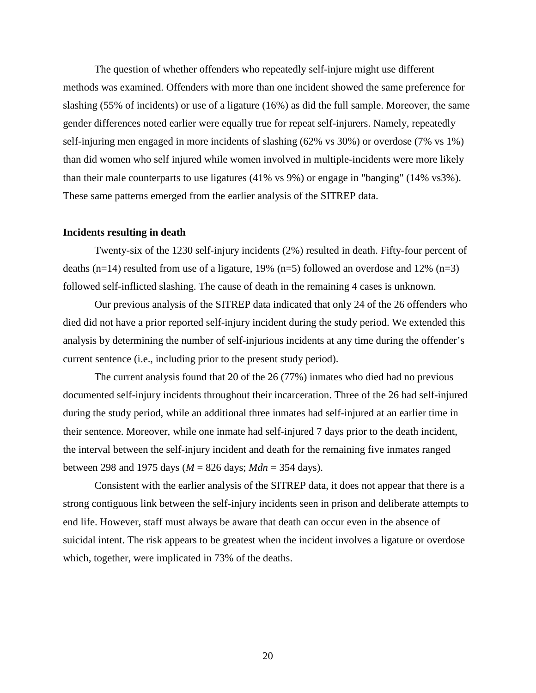The question of whether offenders who repeatedly self-injure might use different methods was examined. Offenders with more than one incident showed the same preference for slashing (55% of incidents) or use of a ligature (16%) as did the full sample. Moreover, the same gender differences noted earlier were equally true for repeat self-injurers. Namely, repeatedly self-injuring men engaged in more incidents of slashing (62% vs 30%) or overdose (7% vs 1%) than did women who self injured while women involved in multiple-incidents were more likely than their male counterparts to use ligatures (41% vs 9%) or engage in "banging" (14% vs3%). These same patterns emerged from the earlier analysis of the SITREP data.

# <span id="page-36-0"></span>**Incidents resulting in death**

Twenty-six of the 1230 self-injury incidents (2%) resulted in death. Fifty-four percent of deaths (n=14) resulted from use of a ligature, 19% (n=5) followed an overdose and 12% (n=3) followed self-inflicted slashing. The cause of death in the remaining 4 cases is unknown.

Our previous analysis of the SITREP data indicated that only 24 of the 26 offenders who died did not have a prior reported self-injury incident during the study period. We extended this analysis by determining the number of self-injurious incidents at any time during the offender's current sentence (i.e., including prior to the present study period).

The current analysis found that 20 of the 26 (77%) inmates who died had no previous documented self-injury incidents throughout their incarceration. Three of the 26 had self-injured during the study period, while an additional three inmates had self-injured at an earlier time in their sentence. Moreover, while one inmate had self-injured 7 days prior to the death incident, the interval between the self-injury incident and death for the remaining five inmates ranged between 298 and 1975 days (*M* = 826 days; *Mdn* = 354 days).

Consistent with the earlier analysis of the SITREP data, it does not appear that there is a strong contiguous link between the self-injury incidents seen in prison and deliberate attempts to end life. However, staff must always be aware that death can occur even in the absence of suicidal intent. The risk appears to be greatest when the incident involves a ligature or overdose which, together, were implicated in 73% of the deaths.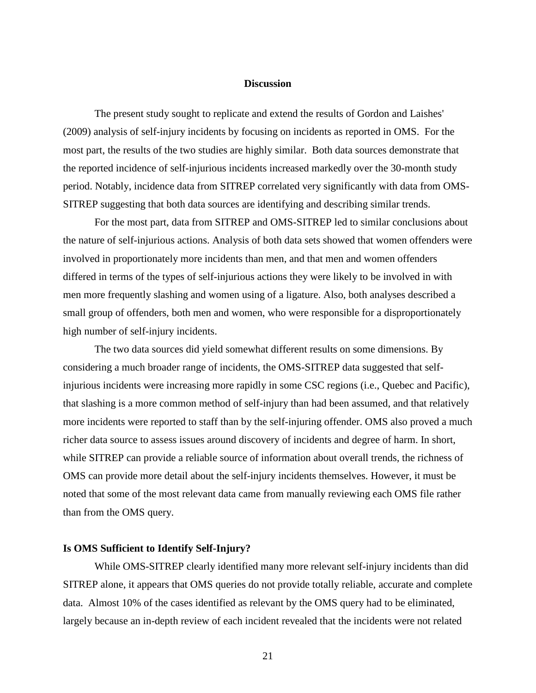# **Discussion**

<span id="page-37-0"></span>The present study sought to replicate and extend the results of Gordon and Laishes' (2009) analysis of self-injury incidents by focusing on incidents as reported in OMS. For the most part, the results of the two studies are highly similar. Both data sources demonstrate that the reported incidence of self-injurious incidents increased markedly over the 30-month study period. Notably, incidence data from SITREP correlated very significantly with data from OMS-SITREP suggesting that both data sources are identifying and describing similar trends.

For the most part, data from SITREP and OMS-SITREP led to similar conclusions about the nature of self-injurious actions. Analysis of both data sets showed that women offenders were involved in proportionately more incidents than men, and that men and women offenders differed in terms of the types of self-injurious actions they were likely to be involved in with men more frequently slashing and women using of a ligature. Also, both analyses described a small group of offenders, both men and women, who were responsible for a disproportionately high number of self-injury incidents.

The two data sources did yield somewhat different results on some dimensions. By considering a much broader range of incidents, the OMS-SITREP data suggested that selfinjurious incidents were increasing more rapidly in some CSC regions (i.e., Quebec and Pacific), that slashing is a more common method of self-injury than had been assumed, and that relatively more incidents were reported to staff than by the self-injuring offender. OMS also proved a much richer data source to assess issues around discovery of incidents and degree of harm. In short, while SITREP can provide a reliable source of information about overall trends, the richness of OMS can provide more detail about the self-injury incidents themselves. However, it must be noted that some of the most relevant data came from manually reviewing each OMS file rather than from the OMS query.

#### <span id="page-37-1"></span>**Is OMS Sufficient to Identify Self-Injury?**

While OMS-SITREP clearly identified many more relevant self-injury incidents than did SITREP alone, it appears that OMS queries do not provide totally reliable, accurate and complete data. Almost 10% of the cases identified as relevant by the OMS query had to be eliminated, largely because an in-depth review of each incident revealed that the incidents were not related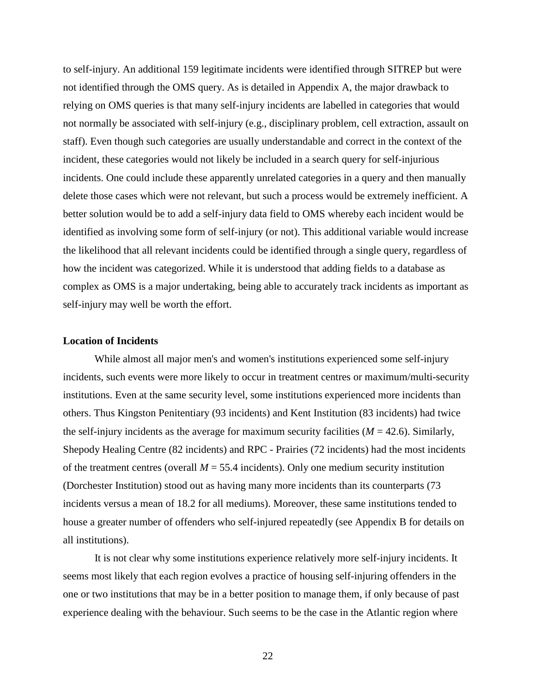to self-injury. An additional 159 legitimate incidents were identified through SITREP but were not identified through the OMS query. As is detailed in Appendix A, the major drawback to relying on OMS queries is that many self-injury incidents are labelled in categories that would not normally be associated with self-injury (e.g., disciplinary problem, cell extraction, assault on staff). Even though such categories are usually understandable and correct in the context of the incident, these categories would not likely be included in a search query for self-injurious incidents. One could include these apparently unrelated categories in a query and then manually delete those cases which were not relevant, but such a process would be extremely inefficient. A better solution would be to add a self-injury data field to OMS whereby each incident would be identified as involving some form of self-injury (or not). This additional variable would increase the likelihood that all relevant incidents could be identified through a single query, regardless of how the incident was categorized. While it is understood that adding fields to a database as complex as OMS is a major undertaking, being able to accurately track incidents as important as self-injury may well be worth the effort.

#### <span id="page-38-0"></span>**Location of Incidents**

While almost all major men's and women's institutions experienced some self-injury incidents, such events were more likely to occur in treatment centres or maximum/multi-security institutions. Even at the same security level, some institutions experienced more incidents than others. Thus Kingston Penitentiary (93 incidents) and Kent Institution (83 incidents) had twice the self-injury incidents as the average for maximum security facilities  $(M = 42.6)$ . Similarly, Shepody Healing Centre (82 incidents) and RPC - Prairies (72 incidents) had the most incidents of the treatment centres (overall  $M = 55.4$  incidents). Only one medium security institution (Dorchester Institution) stood out as having many more incidents than its counterparts (73 incidents versus a mean of 18.2 for all mediums). Moreover, these same institutions tended to house a greater number of offenders who self-injured repeatedly (see Appendix B for details on all institutions).

It is not clear why some institutions experience relatively more self-injury incidents. It seems most likely that each region evolves a practice of housing self-injuring offenders in the one or two institutions that may be in a better position to manage them, if only because of past experience dealing with the behaviour. Such seems to be the case in the Atlantic region where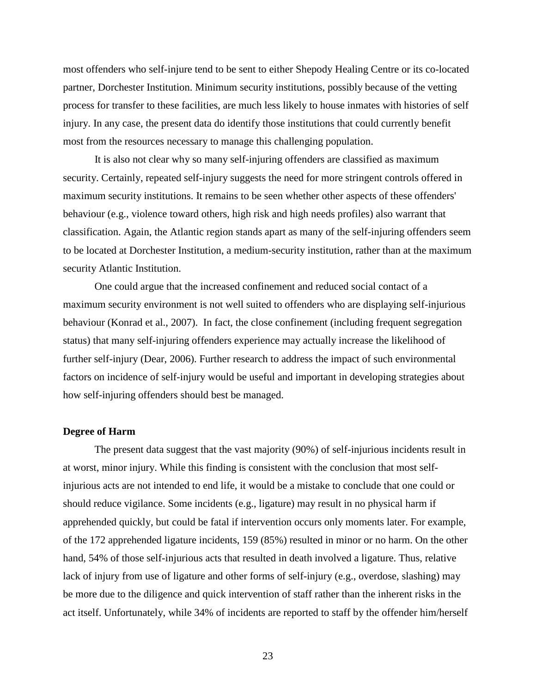most offenders who self-injure tend to be sent to either Shepody Healing Centre or its co-located partner, Dorchester Institution. Minimum security institutions, possibly because of the vetting process for transfer to these facilities, are much less likely to house inmates with histories of self injury. In any case, the present data do identify those institutions that could currently benefit most from the resources necessary to manage this challenging population.

It is also not clear why so many self-injuring offenders are classified as maximum security. Certainly, repeated self-injury suggests the need for more stringent controls offered in maximum security institutions. It remains to be seen whether other aspects of these offenders' behaviour (e.g., violence toward others, high risk and high needs profiles) also warrant that classification. Again, the Atlantic region stands apart as many of the self-injuring offenders seem to be located at Dorchester Institution, a medium-security institution, rather than at the maximum security Atlantic Institution.

One could argue that the increased confinement and reduced social contact of a maximum security environment is not well suited to offenders who are displaying self-injurious behaviour (Konrad et al., 2007). In fact, the close confinement (including frequent segregation status) that many self-injuring offenders experience may actually increase the likelihood of further self-injury (Dear, 2006). Further research to address the impact of such environmental factors on incidence of self-injury would be useful and important in developing strategies about how self-injuring offenders should best be managed.

#### <span id="page-39-0"></span>**Degree of Harm**

The present data suggest that the vast majority (90%) of self-injurious incidents result in at worst, minor injury. While this finding is consistent with the conclusion that most selfinjurious acts are not intended to end life, it would be a mistake to conclude that one could or should reduce vigilance. Some incidents (e.g., ligature) may result in no physical harm if apprehended quickly, but could be fatal if intervention occurs only moments later. For example, of the 172 apprehended ligature incidents, 159 (85%) resulted in minor or no harm. On the other hand, 54% of those self-injurious acts that resulted in death involved a ligature. Thus, relative lack of injury from use of ligature and other forms of self-injury (e.g., overdose, slashing) may be more due to the diligence and quick intervention of staff rather than the inherent risks in the act itself. Unfortunately, while 34% of incidents are reported to staff by the offender him/herself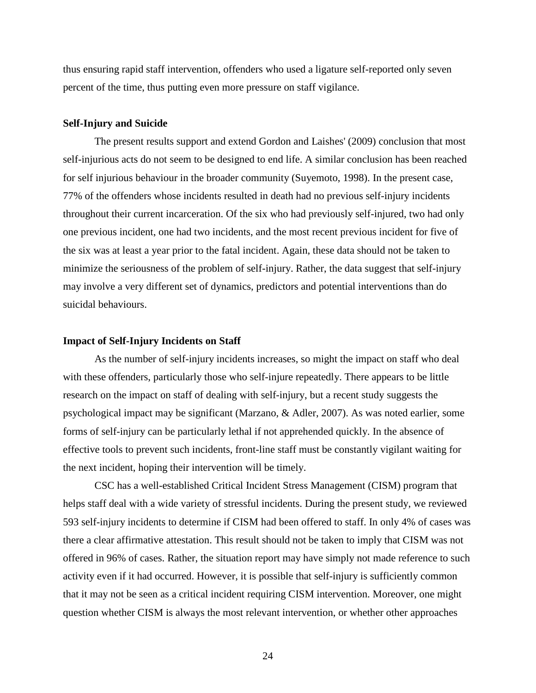thus ensuring rapid staff intervention, offenders who used a ligature self-reported only seven percent of the time, thus putting even more pressure on staff vigilance.

#### <span id="page-40-0"></span>**Self-Injury and Suicide**

The present results support and extend Gordon and Laishes' (2009) conclusion that most self-injurious acts do not seem to be designed to end life. A similar conclusion has been reached for self injurious behaviour in the broader community (Suyemoto, 1998). In the present case, 77% of the offenders whose incidents resulted in death had no previous self-injury incidents throughout their current incarceration. Of the six who had previously self-injured, two had only one previous incident, one had two incidents, and the most recent previous incident for five of the six was at least a year prior to the fatal incident. Again, these data should not be taken to minimize the seriousness of the problem of self-injury. Rather, the data suggest that self-injury may involve a very different set of dynamics, predictors and potential interventions than do suicidal behaviours.

#### <span id="page-40-1"></span>**Impact of Self-Injury Incidents on Staff**

As the number of self-injury incidents increases, so might the impact on staff who deal with these offenders, particularly those who self-injure repeatedly. There appears to be little research on the impact on staff of dealing with self-injury, but a recent study suggests the psychological impact may be significant (Marzano, & Adler, 2007). As was noted earlier, some forms of self-injury can be particularly lethal if not apprehended quickly. In the absence of effective tools to prevent such incidents, front-line staff must be constantly vigilant waiting for the next incident, hoping their intervention will be timely.

CSC has a well-established Critical Incident Stress Management (CISM) program that helps staff deal with a wide variety of stressful incidents. During the present study, we reviewed 593 self-injury incidents to determine if CISM had been offered to staff. In only 4% of cases was there a clear affirmative attestation. This result should not be taken to imply that CISM was not offered in 96% of cases. Rather, the situation report may have simply not made reference to such activity even if it had occurred. However, it is possible that self-injury is sufficiently common that it may not be seen as a critical incident requiring CISM intervention. Moreover, one might question whether CISM is always the most relevant intervention, or whether other approaches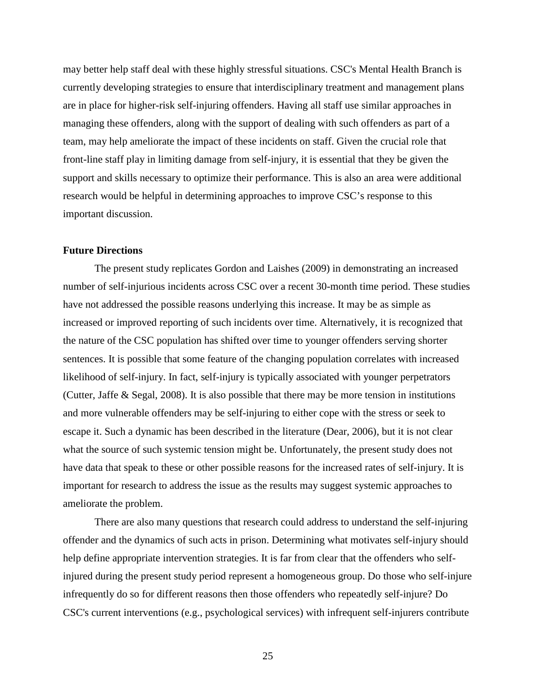may better help staff deal with these highly stressful situations. CSC's Mental Health Branch is currently developing strategies to ensure that interdisciplinary treatment and management plans are in place for higher-risk self-injuring offenders. Having all staff use similar approaches in managing these offenders, along with the support of dealing with such offenders as part of a team, may help ameliorate the impact of these incidents on staff. Given the crucial role that front-line staff play in limiting damage from self-injury, it is essential that they be given the support and skills necessary to optimize their performance. This is also an area were additional research would be helpful in determining approaches to improve CSC's response to this important discussion.

# <span id="page-41-0"></span>**Future Directions**

The present study replicates Gordon and Laishes (2009) in demonstrating an increased number of self-injurious incidents across CSC over a recent 30-month time period. These studies have not addressed the possible reasons underlying this increase. It may be as simple as increased or improved reporting of such incidents over time. Alternatively, it is recognized that the nature of the CSC population has shifted over time to younger offenders serving shorter sentences. It is possible that some feature of the changing population correlates with increased likelihood of self-injury. In fact, self-injury is typically associated with younger perpetrators (Cutter, Jaffe & Segal, 2008). It is also possible that there may be more tension in institutions and more vulnerable offenders may be self-injuring to either cope with the stress or seek to escape it. Such a dynamic has been described in the literature (Dear, 2006), but it is not clear what the source of such systemic tension might be. Unfortunately, the present study does not have data that speak to these or other possible reasons for the increased rates of self-injury. It is important for research to address the issue as the results may suggest systemic approaches to ameliorate the problem.

There are also many questions that research could address to understand the self-injuring offender and the dynamics of such acts in prison. Determining what motivates self-injury should help define appropriate intervention strategies. It is far from clear that the offenders who selfinjured during the present study period represent a homogeneous group. Do those who self-injure infrequently do so for different reasons then those offenders who repeatedly self-injure? Do CSC's current interventions (e.g., psychological services) with infrequent self-injurers contribute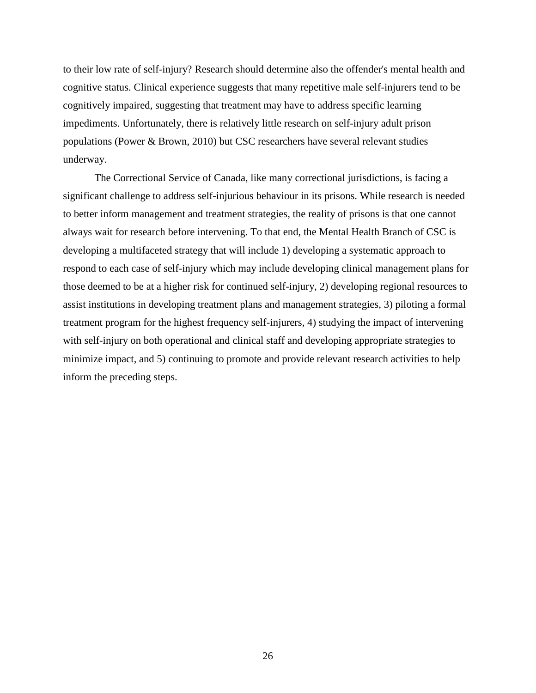to their low rate of self-injury? Research should determine also the offender's mental health and cognitive status. Clinical experience suggests that many repetitive male self-injurers tend to be cognitively impaired, suggesting that treatment may have to address specific learning impediments. Unfortunately, there is relatively little research on self-injury adult prison populations (Power & Brown, 2010) but CSC researchers have several relevant studies underway.

The Correctional Service of Canada, like many correctional jurisdictions, is facing a significant challenge to address self-injurious behaviour in its prisons. While research is needed to better inform management and treatment strategies, the reality of prisons is that one cannot always wait for research before intervening. To that end, the Mental Health Branch of CSC is developing a multifaceted strategy that will include 1) developing a systematic approach to respond to each case of self-injury which may include developing clinical management plans for those deemed to be at a higher risk for continued self-injury, 2) developing regional resources to assist institutions in developing treatment plans and management strategies, 3) piloting a formal treatment program for the highest frequency self-injurers, 4) studying the impact of intervening with self-injury on both operational and clinical staff and developing appropriate strategies to minimize impact, and 5) continuing to promote and provide relevant research activities to help inform the preceding steps.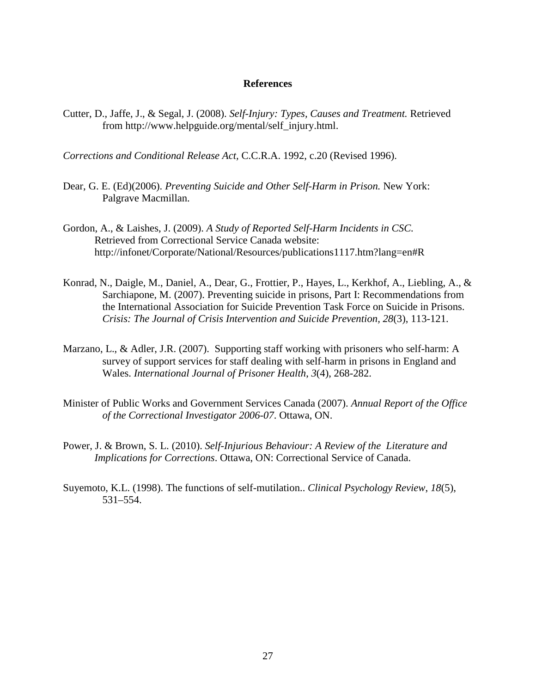#### **References**

<span id="page-43-0"></span>Cutter, D., Jaffe, J., & Segal, J. (2008). *[Self-Injury: Types, Causes and Treatment.](http://www.helpguide.org/mental/self_injury.htm)* Retrieved from http://www.helpguide.org/mental/self\_injury.html.

*Corrections and Conditional Release Act,* C.C.R.A. 1992, c.20 (Revised 1996).

- Dear, G. E. (Ed)(2006). *Preventing Suicide and Other Self-Harm in Prison.* New York: Palgrave Macmillan.
- Gordon, A., & Laishes, J. (2009). *A Study of Reported Self-Harm Incidents in CSC.* Retrieved from Correctional Service Canada website: http://infonet/Corporate/National/Resources/publications1117.htm?lang=en#R
- Konrad, N., Daigle, M., Daniel, A., Dear, G., Frottier, P., Hayes, L., Kerkhof, A., Liebling, A., & Sarchiapone, M. (2007). Preventing suicide in prisons, Part I: Recommendations from the International Association for Suicide Prevention Task Force on Suicide in Prisons. *Crisis: The Journal of Crisis Intervention and Suicide Prevention, 28*(3), 113-121.
- Marzano, L., & Adler, J.R. (2007). Supporting staff working with prisoners who self-harm: A survey of support services for staff dealing with self-harm in prisons in England and Wales. *International Journal of Prisoner Health*, *3*(4), 268-282.
- Minister of Public Works and Government Services Canada (2007). *Annual Report of the Office of the Correctional Investigator 2006-07*. Ottawa, ON.
- Power, J. & Brown, S. L. (2010). *Self-Injurious Behaviour: A Review of the Literature and Implications for Corrections*. Ottawa, ON: Correctional Service of Canada.
- Suyemoto, K.L. (1998). The functions of self-mutilation.. *Clinical Psychology Review*, *18*(5), 531–554.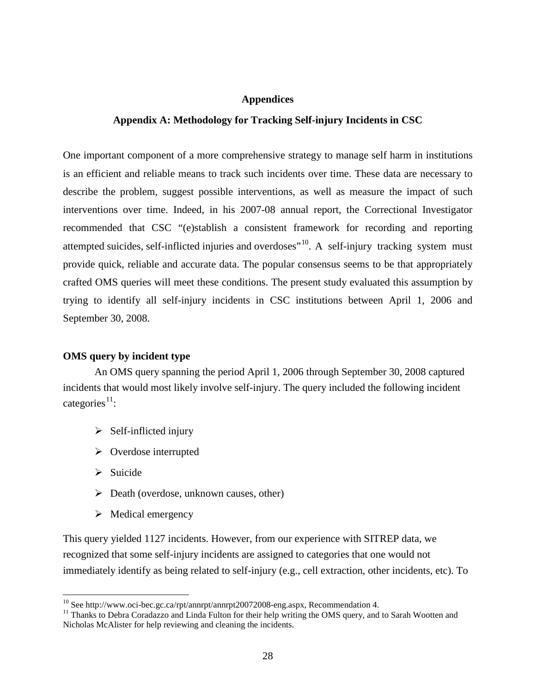#### **Appendices**

#### <span id="page-44-0"></span>**Appendix A: Methodology for Tracking Self-injury Incidents in CSC**

<span id="page-44-1"></span>One important component of a more comprehensive strategy to manage self harm in institutions is an efficient and reliable means to track such incidents over time. These data are necessary to describe the problem, suggest possible interventions, as well as measure the impact of such interventions over time. Indeed, in his 2007-08 annual report, the Correctional Investigator recommended that CSC "(e)stablish a consistent framework for recording and reporting attempted suicides, self-inflicted injuries and overdoses<sup>"10</sup>. A self-injury tracking system must provide quick, reliable and accurate data. The popular consensus seems to be that appropriately crafted OMS queries will meet these conditions. The present study evaluated this assumption by trying to identify all self-injury incidents in CSC institutions between April 1, 2006 and September 30, 2008.

# **OMS query by incident type**

An OMS query spanning the period April 1, 2006 through September 30, 2008 captured incidents that would most likely involve self-injury. The query included the following incident categories<sup>[11](#page-44-3)</sup>:

- $\triangleright$  Self-inflicted injury
- $\triangleright$  Overdose interrupted
- $\triangleright$  Suicide
- $\triangleright$  Death (overdose, unknown causes, other)
- $\triangleright$  Medical emergency

This query yielded 1127 incidents. However, from our experience with SITREP data, we recognized that some self-injury incidents are assigned to categories that one would not immediately identify as being related to self-injury (e.g., cell extraction, other incidents, etc). To

<span id="page-44-3"></span><span id="page-44-2"></span><sup>&</sup>lt;sup>10</sup> See http://www.oci-bec.gc.ca/rpt/annrpt/annrpt20072008-eng.aspx, Recommendation 4.<br><sup>11</sup> Thanks to Debra Coradazzo and Linda Fulton for their help writing the OMS query, and to Sarah Wootten and Nicholas McAlister for help reviewing and cleaning the incidents.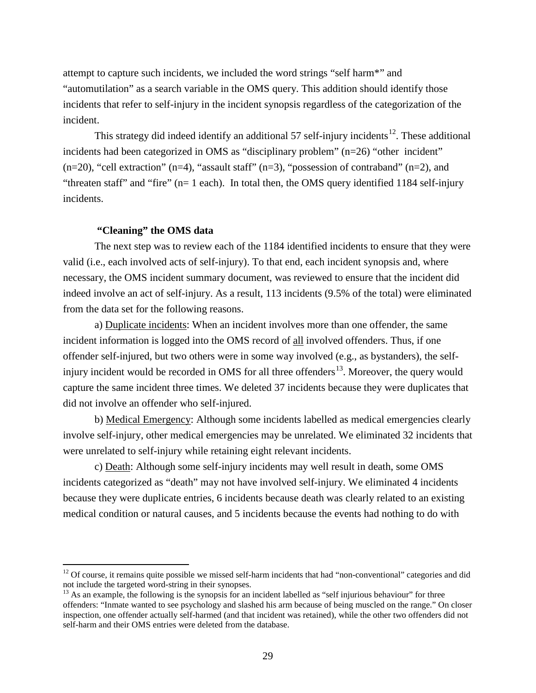attempt to capture such incidents, we included the word strings "self harm\*" and "automutilation" as a search variable in the OMS query. This addition should identify those incidents that refer to self-injury in the incident synopsis regardless of the categorization of the incident.

This strategy did indeed identify an additional 57 self-injury incidents<sup>[12](#page-45-0)</sup>. These additional incidents had been categorized in OMS as "disciplinary problem" (n=26) "other incident"  $(n=20)$ , "cell extraction"  $(n=4)$ , "assault staff"  $(n=3)$ , "possession of contraband"  $(n=2)$ , and "threaten staff" and "fire" (n= 1 each). In total then, the OMS query identified 1184 self-injury incidents.

#### **"Cleaning" the OMS data**

The next step was to review each of the 1184 identified incidents to ensure that they were valid (i.e., each involved acts of self-injury). To that end, each incident synopsis and, where necessary, the OMS incident summary document, was reviewed to ensure that the incident did indeed involve an act of self-injury. As a result, 113 incidents (9.5% of the total) were eliminated from the data set for the following reasons.

a) Duplicate incidents: When an incident involves more than one offender, the same incident information is logged into the OMS record of all involved offenders. Thus, if one offender self-injured, but two others were in some way involved (e.g., as bystanders), the self-injury incident would be recorded in OMS for all three offenders<sup>[13](#page-45-1)</sup>. Moreover, the query would capture the same incident three times. We deleted 37 incidents because they were duplicates that did not involve an offender who self-injured.

b) Medical Emergency: Although some incidents labelled as medical emergencies clearly involve self-injury, other medical emergencies may be unrelated. We eliminated 32 incidents that were unrelated to self-injury while retaining eight relevant incidents.

c) Death : Although some self-injury incidents may well result in death, some OMS incidents categorized as "death" may not have involved self-injury. We eliminated 4 incidents because they were duplicate entries, 6 incidents because death was clearly related to an existing medical condition or natural causes, and 5 incidents because the events had nothing to do with

<span id="page-45-0"></span> $12$  Of course, it remains quite possible we missed self-harm incidents that had "non-conventional" categories and did not include the targeted word-string in their synopses.

<span id="page-45-1"></span> $<sup>13</sup>$  As an example, the following is the synopsis for an incident labelled as "self injurious behaviour" for three</sup> offenders: "Inmate wanted to see psychology and slashed his arm because of being muscled on the range." On closer inspection, one offender actually self-harmed (and that incident was retained), while the other two offenders did not self-harm and their OMS entries were deleted from the database.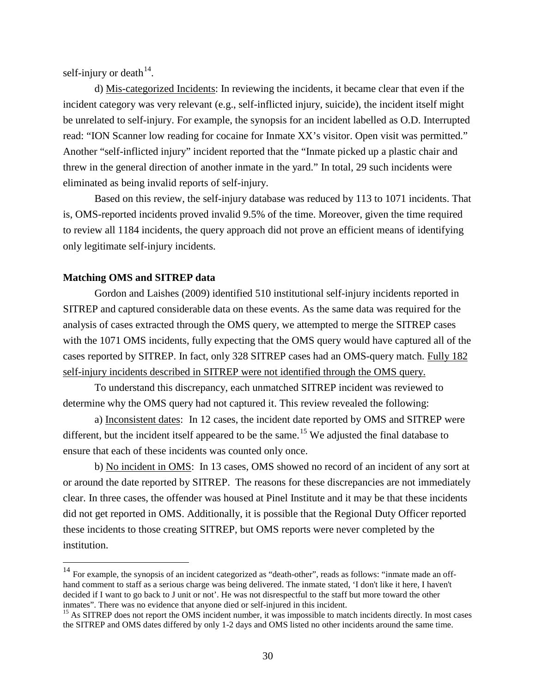self-injury or death $^{14}$  $^{14}$  $^{14}$ .

d) Mis-categorized Incidents: In reviewing the incidents, it became clear that even if the incident category was very relevant (e.g., self-inflicted injury, suicide), the incident itself might be unrelated to self-injury. For example, the synopsis for an incident labelled as O.D. Interrupted read: "ION Scanner low reading for cocaine for Inmate XX's visitor. Open visit was permitted." Another "self-inflicted injury" incident reported that the "Inmate picked up a plastic chair and threw in the general direction of another inmate in the yard." In total, 29 such incidents were eliminated as being invalid reports of self-injury.

Based on this review, the self-injury database was reduced by 113 to 1071 incidents. That is, OMS-reported incidents proved invalid 9.5% of the time. Moreover, given the time required to review all 1184 incidents, the query approach did not prove an efficient means of identifying only legitimate self-injury incidents.

## **Matching OMS and SITREP data**

Gordon and Laishes (2009) identified 510 institutional self-injury incidents reported in SITREP and captured considerable data on these events. As the same data was required for the analysis of cases extracted through the OMS query, we attempted to merge the SITREP cases with the 1071 OMS incidents, fully expecting that the OMS query would have captured all of the cases reported by SITREP. In fact, only 328 SITREP cases had an OMS-query match. Fully 182 self-injury incidents described in SITREP were not identified through the OMS query.

To understand this discrepancy, each unmatched SITREP incident was reviewed to determine why the OMS query had not captured it. This review revealed the following:

a) Inconsistent dates: In 12 cases, the incident date reported by OMS and SITREP were different, but the incident itself appeared to be the same.<sup>[15](#page-46-1)</sup> We adjusted the final database to ensure that each of these incidents was counted only once.

b) No incident in OMS: In 13 cases, OMS showed no record of an incident of any sort at or around the date reported by SITREP. The reasons for these discrepancies are not immediately clear. In three cases, the offender was housed at Pinel Institute and it may be that these incidents did not get reported in OMS. Additionally, it is possible that the Regional Duty Officer reported these incidents to those creating SITREP, but OMS reports were never completed by the institution.

<span id="page-46-0"></span><sup>&</sup>lt;sup>14</sup> For example, the synopsis of an incident categorized as "death-other", reads as follows: "inmate made an offhand comment to staff as a serious charge was being delivered. The inmate stated, 'I don't like it here, I haven't decided if I want to go back to J unit or not'. He was not disrespectful to the staff but more toward the other inmates". There was no evidence that anyone died or self-injured in this incident.

<span id="page-46-1"></span><sup>&</sup>lt;sup>15</sup> As SITREP does not report the OMS incident number, it was impossible to match incidents directly. In most cases the SITREP and OMS dates differed by only 1-2 days and OMS listed no other incidents around the same time.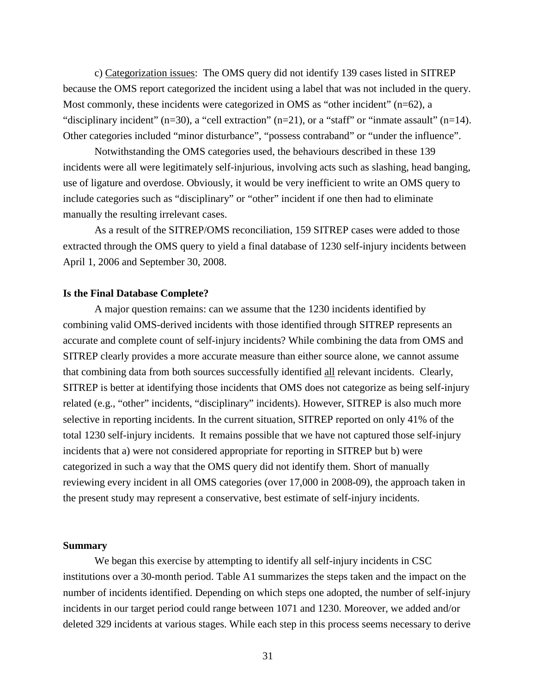c) Categorization issues : The OMS query did not identify 139 cases listed in SITREP because the OMS report categorized the incident using a label that was not included in the query. Most commonly, these incidents were categorized in OMS as "other incident"  $(n=62)$ , a "disciplinary incident" (n=30), a "cell extraction" (n=21), or a "staff" or "inmate assault" (n=14). Other categories included "minor disturbance", "possess contraband" or "under the influence".

Notwithstanding the OMS categories used, the behaviours described in these 139 incidents were all were legitimately self-injurious, involving acts such as slashing, head banging, use of ligature and overdose. Obviously, it would be very inefficient to write an OMS query to include categories such as "disciplinary" or "other" incident if one then had to eliminate manually the resulting irrelevant cases.

As a result of the SITREP/OMS reconciliation, 159 SITREP cases were added to those extracted through the OMS query to yield a final database of 1230 self-injury incidents between April 1, 2006 and September 30, 2008.

#### **Is the Final Database Complete?**

A major question remains: can we assume that the 1230 incidents identified by combining valid OMS-derived incidents with those identified through SITREP represents an accurate and complete count of self-injury incidents? While combining the data from OMS and SITREP clearly provides a more accurate measure than either source alone, we cannot assume that combining data from both sources successfully identified all relevant incidents. Clearly, SITREP is better at identifying those incidents that OMS does not categorize as being self-injury related (e.g., "other" incidents, "disciplinary" incidents). However, SITREP is also much more selective in reporting incidents. In the current situation, SITREP reported on only 41% of the total 1230 self-injury incidents. It remains possible that we have not captured those self-injury incidents that a) were not considered appropriate for reporting in SITREP but b) were categorized in such a way that the OMS query did not identify them. Short of manually reviewing every incident in all OMS categories (over 17,000 in 2008-09), the approach taken in the present study may represent a conservative, best estimate of self-injury incidents.

#### **Summary**

We began this exercise by attempting to identify all self-injury incidents in CSC institutions over a 30-month period. Table A1 summarizes the steps taken and the impact on the number of incidents identified. Depending on which steps one adopted, the number of self-injury incidents in our target period could range between 1071 and 1230. Moreover, we added and/or deleted 329 incidents at various stages. While each step in this process seems necessary to derive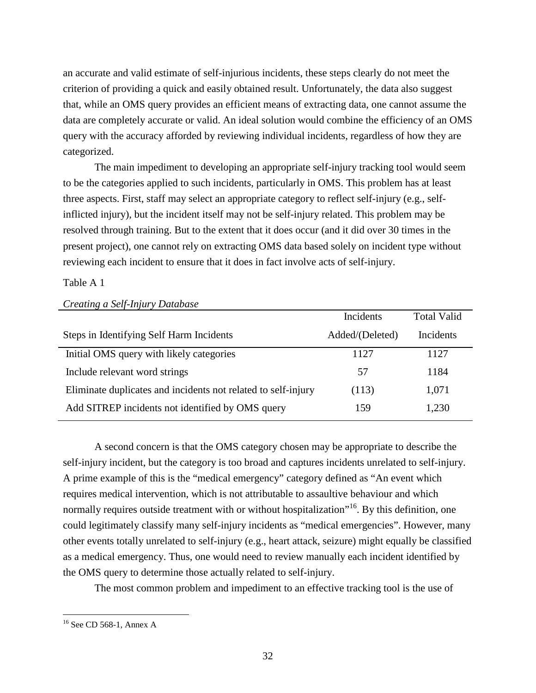an accurate and valid estimate of self-injurious incidents, these steps clearly do not meet the criterion of providing a quick and easily obtained result. Unfortunately, the data also suggest that, while an OMS query provides an efficient means of extracting data, one cannot assume the data are completely accurate or valid. An ideal solution would combine the efficiency of an OMS query with the accuracy afforded by reviewing individual incidents, regardless of how they are categorized.

The main impediment to developing an appropriate self-injury tracking tool would seem to be the categories applied to such incidents, particularly in OMS. This problem has at least three aspects. First, staff may select an appropriate category to reflect self-injury (e.g., selfinflicted injury), but the incident itself may not be self-injury related. This problem may be resolved through training. But to the extent that it does occur (and it did over 30 times in the present project), one cannot rely on extracting OMS data based solely on incident type without reviewing each incident to ensure that it does in fact involve acts of self-injury.

Table A 1

|                                                               | Incidents       | <b>Total Valid</b> |
|---------------------------------------------------------------|-----------------|--------------------|
| Steps in Identifying Self Harm Incidents                      | Added/(Deleted) | Incidents          |
| Initial OMS query with likely categories                      | 1127            | 1127               |
| Include relevant word strings                                 | 57              | 1184               |
| Eliminate duplicates and incidents not related to self-injury | (113)           | 1,071              |
| Add SITREP incidents not identified by OMS query              | 159             | 1,230              |

*Creating a Self-Injury Database*

A second concern is that the OMS category chosen may be appropriate to describe the self-injury incident, but the category is too broad and captures incidents unrelated to self-injury. A prime example of this is the "medical emergency" category defined as "An event which requires medical intervention, which is not attributable to assaultive behaviour and which normally requires outside treatment with or without hospitalization"<sup>[16](#page-48-0)</sup>. By this definition, one could legitimately classify many self-injury incidents as "medical emergencies". However, many other events totally unrelated to self-injury (e.g., heart attack, seizure) might equally be classified as a medical emergency. Thus, one would need to review manually each incident identified by the OMS query to determine those actually related to self-injury.

The most common problem and impediment to an effective tracking tool is the use of

<span id="page-48-0"></span> <sup>16</sup> See CD 568-1, Annex A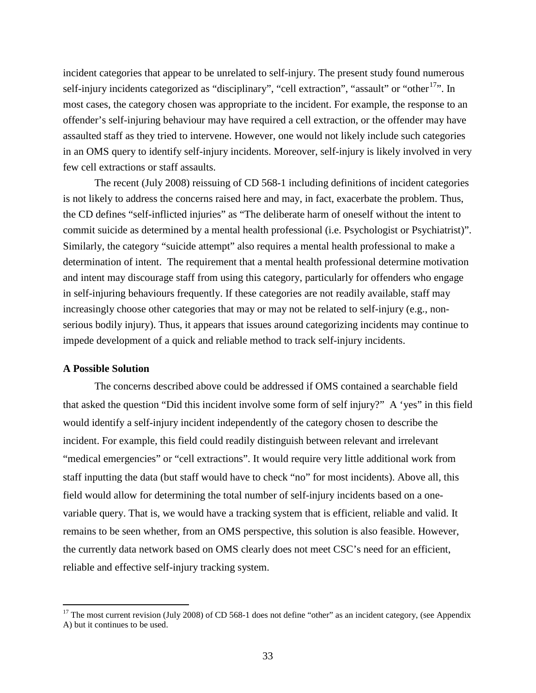incident categories that appear to be unrelated to self-injury. The present study found numerous self-injury incidents categorized as "disciplinary", "cell extraction", "assault" or "other<sup>[17](#page-49-0)</sup>". In most cases, the category chosen was appropriate to the incident. For example, the response to an offender's self-injuring behaviour may have required a cell extraction, or the offender may have assaulted staff as they tried to intervene. However, one would not likely include such categories in an OMS query to identify self-injury incidents. Moreover, self-injury is likely involved in very few cell extractions or staff assaults.

The recent (July 2008) reissuing of CD 568-1 including definitions of incident categories is not likely to address the concerns raised here and may, in fact, exacerbate the problem. Thus, the CD defines "self-inflicted injuries" as "The deliberate harm of oneself without the intent to commit suicide as determined by a mental health professional (i.e. Psychologist or Psychiatrist)". Similarly, the category "suicide attempt" also requires a mental health professional to make a determination of intent. The requirement that a mental health professional determine motivation and intent may discourage staff from using this category, particularly for offenders who engage in self-injuring behaviours frequently. If these categories are not readily available, staff may increasingly choose other categories that may or may not be related to self-injury (e.g., nonserious bodily injury). Thus, it appears that issues around categorizing incidents may continue to impede development of a quick and reliable method to track self-injury incidents.

#### **A Possible Solution**

The concerns described above could be addressed if OMS contained a searchable field that asked the question "Did this incident involve some form of self injury?" A 'yes" in this field would identify a self-injury incident independently of the category chosen to describe the incident. For example, this field could readily distinguish between relevant and irrelevant "medical emergencies" or "cell extractions". It would require very little additional work from staff inputting the data (but staff would have to check "no" for most incidents). Above all, this field would allow for determining the total number of self-injury incidents based on a onevariable query. That is, we would have a tracking system that is efficient, reliable and valid. It remains to be seen whether, from an OMS perspective, this solution is also feasible. However, the currently data network based on OMS clearly does not meet CSC's need for an efficient, reliable and effective self-injury tracking system.

<span id="page-49-0"></span> $17$  The most current revision (July 2008) of CD 568-1 does not define "other" as an incident category, (see Appendix A) but it continues to be used.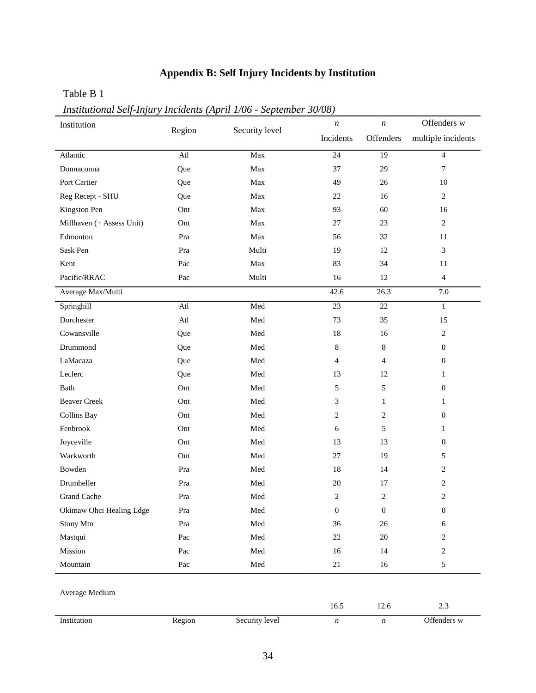# **Appendix B: Self Injury Incidents by Institution**

# <span id="page-50-0"></span>Table B 1

*Institutional Self-Injury Incidents (April 1/06 - September 30/08)*

| Institution               |        |                               | $\boldsymbol{n}$ | $\boldsymbol{n}$ | Offenders w              |
|---------------------------|--------|-------------------------------|------------------|------------------|--------------------------|
|                           | Region | Security level                | Incidents        | Offenders        | multiple incidents       |
| Atlantic                  | Atl    | Max                           | $\overline{24}$  | $\overline{19}$  | $\overline{4}$           |
| Donnaconna                | Que    | Max                           | 37               | 29               | 7                        |
| Port Cartier              | Que    | Max                           | 49               | 26               | $10\,$                   |
| Reg Recept - SHU          | Que    | Max                           | 22               | 16               | $\overline{c}$           |
| Kingston Pen              | Ont    | Max                           | 93               | 60               | 16                       |
| Millhaven (+ Assess Unit) | Ont    | Max                           | 27               | 23               | $\overline{c}$           |
| Edmonton                  | Pra    | Max                           | 56               | 32               | 11                       |
| Sask Pen                  | Pra    | Multi                         | 19               | 12               | 3                        |
| Kent                      | Pac    | Max                           | 83               | 34               | 11                       |
| Pacific/RRAC              | Pac    | Multi                         | 16               | 12               | $\overline{\mathcal{A}}$ |
| Average Max/Multi         |        |                               | 42.6             | 26.3             | 7.0                      |
| Springhill                | Atl    | Med                           | 23               | $22\,$           | $\mathbf{1}$             |
| Dorchester                | Atl    | Med                           | 73               | 35               | 15                       |
| Cowansville               | Que    | Med                           | 18               | 16               | $\overline{c}$           |
| Drummond                  | Que    | Med                           | 8                | 8                | $\boldsymbol{0}$         |
| LaMacaza                  | Que    | Med                           | $\overline{4}$   | $\overline{4}$   | $\boldsymbol{0}$         |
| Leclerc                   | Que    | Med                           | 13               | 12               | 1                        |
| Bath                      | Ont    | Med                           | 5                | 5                | $\boldsymbol{0}$         |
| <b>Beaver Creek</b>       | Ont    | Med                           | 3                | $\mathbf{1}$     | $\mathbf{1}$             |
| <b>Collins Bay</b>        | Ont    | Med                           | 2                | 2                | $\boldsymbol{0}$         |
| Fenbrook                  | Ont    | Med                           | 6                | 5                | 1                        |
| Joyceville                | Ont    | Med                           | 13               | 13               | $\boldsymbol{0}$         |
| Warkworth                 | Ont    | Med                           | 27               | 19               | 5                        |
| Bowden                    | Pra    | Med                           | 18               | 14               | $\overline{c}$           |
| Drumheller                | Pra    | Med                           | 20               | 17               | $\overline{c}$           |
| <b>Grand Cache</b>        | Pra    | Med                           | 2                | $\overline{c}$   | 2                        |
| Okimaw Ohci Healing Ldge  | Pra    | Med                           | $\boldsymbol{0}$ | $\boldsymbol{0}$ | $\boldsymbol{0}$         |
| Stony Mtn                 | Pra    | Med                           | 36               | $26\,$           | 6                        |
| Mastqui                   | Pac    | $\operatorname{\mathsf{Med}}$ | $22\,$           | $20\,$           | $\boldsymbol{2}$         |
| Mission                   | Pac    | Med                           | 16               | 14               | $\overline{c}$           |
| Mountain                  | Pac    | $\operatorname{\mathsf{Med}}$ | 21               | 16               | 5                        |
|                           |        |                               |                  |                  |                          |
| Average Medium            |        |                               |                  |                  |                          |
|                           |        |                               | 16.5             | 12.6             | $2.3\,$                  |
| Institution               | Region | Security level                | $\boldsymbol{n}$ | $\boldsymbol{n}$ | Offenders w              |